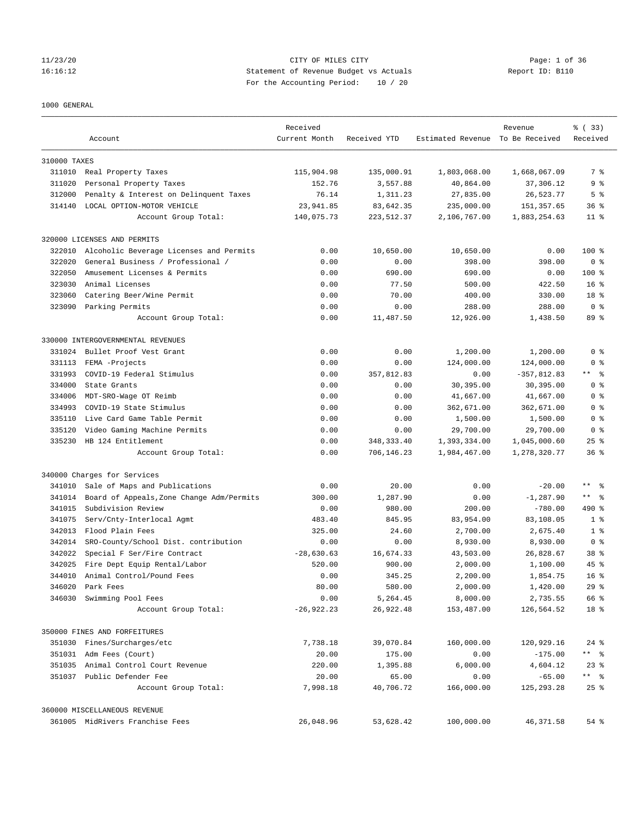# 11/23/20 CITY OF MILES CITY Page: 1 of 36 16:16:12 Statement of Revenue Budget vs Actuals Report ID: B110 For the Accounting Period: 10 / 20

#### 1000 GENERAL

|              | Account                                     | Received<br>Current Month | Received YTD | Estimated Revenue To Be Received | Revenue       | % (33)<br>Received |
|--------------|---------------------------------------------|---------------------------|--------------|----------------------------------|---------------|--------------------|
| 310000 TAXES |                                             |                           |              |                                  |               |                    |
|              | 311010 Real Property Taxes                  | 115,904.98                | 135,000.91   | 1,803,068.00                     | 1,668,067.09  | 7 %                |
| 311020       | Personal Property Taxes                     | 152.76                    | 3,557.88     | 40,864.00                        | 37,306.12     | 9 <sub>8</sub>     |
| 312000       | Penalty & Interest on Delinquent Taxes      | 76.14                     | 1,311.23     | 27,835.00                        | 26,523.77     | 5 <sup>°</sup>     |
| 314140       | LOCAL OPTION-MOTOR VEHICLE                  | 23,941.85                 | 83,642.35    | 235,000.00                       | 151, 357.65   | 36%                |
|              | Account Group Total:                        | 140,075.73                | 223, 512.37  | 2,106,767.00                     | 1,883,254.63  | $11$ %             |
|              | 320000 LICENSES AND PERMITS                 |                           |              |                                  |               |                    |
| 322010       | Alcoholic Beverage Licenses and Permits     | 0.00                      | 10,650.00    | 10,650.00                        | 0.00          | $100$ %            |
| 322020       | General Business / Professional /           | 0.00                      | 0.00         | 398.00                           | 398.00        | 0 <sup>8</sup>     |
| 322050       | Amusement Licenses & Permits                | 0.00                      | 690.00       | 690.00                           | 0.00          | $100$ %            |
| 323030       | Animal Licenses                             | 0.00                      | 77.50        | 500.00                           | 422.50        | 16 <sup>8</sup>    |
| 323060       | Catering Beer/Wine Permit                   | 0.00                      | 70.00        | 400.00                           | 330.00        | 18 %               |
|              | 323090 Parking Permits                      | 0.00                      | 0.00         | 288.00                           | 288.00        | 0 <sup>8</sup>     |
|              | Account Group Total:                        | 0.00                      | 11,487.50    | 12,926.00                        | 1,438.50      | 89 %               |
|              | 330000 INTERGOVERNMENTAL REVENUES           |                           |              |                                  |               |                    |
| 331024       | Bullet Proof Vest Grant                     | 0.00                      | 0.00         | 1,200.00                         | 1,200.00      | 0 <sup>8</sup>     |
| 331113       | FEMA -Projects                              | 0.00                      | 0.00         | 124,000.00                       | 124,000.00    | 0 <sup>8</sup>     |
| 331993       | COVID-19 Federal Stimulus                   | 0.00                      | 357,812.83   | 0.00                             | $-357,812.83$ | ** 응               |
| 334000       | State Grants                                | 0.00                      | 0.00         | 30,395.00                        | 30,395.00     | 0 <sup>8</sup>     |
| 334006       | MDT-SRO-Wage OT Reimb                       | 0.00                      | 0.00         | 41,667.00                        | 41,667.00     | 0 <sup>8</sup>     |
| 334993       | COVID-19 State Stimulus                     | 0.00                      | 0.00         | 362,671.00                       | 362,671.00    | 0 <sup>8</sup>     |
| 335110       | Live Card Game Table Permit                 | 0.00                      | 0.00         | 1,500.00                         | 1,500.00      | 0 <sup>8</sup>     |
| 335120       | Video Gaming Machine Permits                | 0.00                      | 0.00         | 29,700.00                        | 29,700.00     | 0 <sup>8</sup>     |
| 335230       | HB 124 Entitlement                          | 0.00                      | 348, 333.40  | 1,393,334.00                     | 1,045,000.60  | $25$ $%$           |
|              | Account Group Total:                        | 0.00                      | 706,146.23   | 1,984,467.00                     | 1,278,320.77  | 36 <sup>8</sup>    |
|              | 340000 Charges for Services                 |                           |              |                                  |               |                    |
| 341010       | Sale of Maps and Publications               | 0.00                      | 20.00        | 0.00                             | $-20.00$      | $\star\star$<br>ഀ  |
| 341014       | Board of Appeals, Zone Change Adm/Permits   | 300.00                    | 1,287.90     | 0.00                             | $-1, 287.90$  | $***$ $ -$         |
| 341015       | Subdivision Review                          | 0.00                      | 980.00       | 200.00                           | $-780.00$     | 490 %              |
| 341075       | Serv/Cnty-Interlocal Agmt                   | 483.40                    | 845.95       | 83,954.00                        | 83,108.05     | 1 <sup>8</sup>     |
| 342013       | Flood Plain Fees                            | 325.00                    | 24.60        | 2,700.00                         | 2,675.40      | 1 <sup>8</sup>     |
|              | 342014 SRO-County/School Dist. contribution | 0.00                      | 0.00         | 8,930.00                         | 8,930.00      | 0 <sup>8</sup>     |
| 342022       | Special F Ser/Fire Contract                 | $-28,630.63$              | 16,674.33    | 43,503.00                        | 26,828.67     | 38 %               |
| 342025       | Fire Dept Equip Rental/Labor                | 520.00                    | 900.00       | 2,000.00                         | 1,100.00      | $45$ %             |
| 344010       | Animal Control/Pound Fees                   | 0.00                      | 345.25       | 2,200.00                         | 1,854.75      | 16 <sup>8</sup>    |
| 346020       | Park Fees                                   | 80.00                     | 580.00       | 2,000.00                         | 1,420.00      | 29%                |
| 346030       | Swimming Pool Fees                          | 0.00                      | 5,264.45     | 8,000.00                         | 2,735.55      | 66 %               |
|              | Account Group Total:                        | $-26,922.23$              | 26,922.48    | 153,487.00                       | 126,564.52    | 18 %               |
|              | 350000 FINES AND FORFEITURES                |                           |              |                                  |               |                    |
|              | 351030 Fines/Surcharges/etc                 | 7,738.18                  | 39,070.84    | 160,000.00                       | 120,929.16    | $24$ %             |
|              | 351031 Adm Fees (Court)                     | 20.00                     | 175.00       | 0.00                             | $-175.00$     | ** %               |
| 351035       | Animal Control Court Revenue                | 220.00                    | 1,395.88     | 6,000.00                         | 4,604.12      | $23$ %             |
|              | 351037 Public Defender Fee                  | 20.00                     | 65.00        | 0.00                             | $-65.00$      | ** %               |
|              | Account Group Total:                        | 7,998.18                  | 40,706.72    | 166,000.00                       | 125,293.28    | $25$ $%$           |
|              | 360000 MISCELLANEOUS REVENUE                |                           |              |                                  |               |                    |
|              | 361005 MidRivers Franchise Fees             | 26,048.96                 | 53,628.42    | 100,000.00                       | 46,371.58     | 54 %               |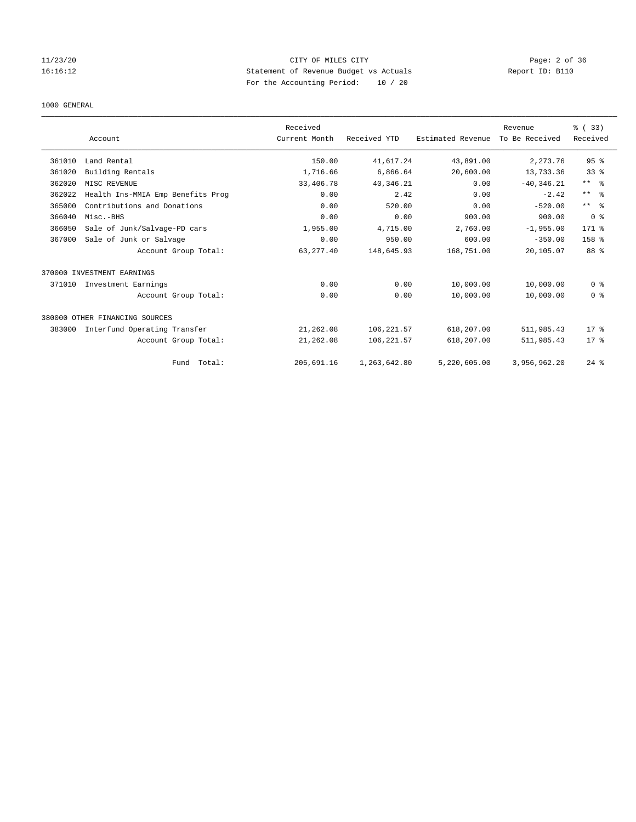# 11/23/20 CITY OF MILES CITY Page: 2 of 36 16:16:12 Statement of Revenue Budget vs Actuals Report ID: B110 For the Accounting Period: 10 / 20

#### 1000 GENERAL

|        | Account                           | Received<br>Current Month | Received YTD | Estimated Revenue | Revenue<br>To Be Received | % (33)<br>Received      |
|--------|-----------------------------------|---------------------------|--------------|-------------------|---------------------------|-------------------------|
|        |                                   |                           |              |                   |                           |                         |
| 361010 | Land Rental                       | 150.00                    | 41,617.24    | 43,891.00         | 2,273.76                  | 95%                     |
| 361020 | Building Rentals                  | 1,716.66                  | 6,866.64     | 20,600.00         | 13,733.36                 | 33 <sup>8</sup>         |
| 362020 | MISC REVENUE                      | 33,406.78                 | 40,346.21    | 0.00              | $-40, 346.21$             | $***$ $ -$              |
| 362022 | Health Ins-MMIA Emp Benefits Prog | 0.00                      | 2.42         | 0.00              | $-2.42$                   | $***$ $=$ $\frac{6}{5}$ |
| 365000 | Contributions and Donations       | 0.00                      | 520.00       | 0.00              | $-520.00$                 | ** %                    |
| 366040 | Misc.-BHS                         | 0.00                      | 0.00         | 900.00            | 900.00                    | 0 <sup>8</sup>          |
| 366050 | Sale of Junk/Salvage-PD cars      | 1,955.00                  | 4,715.00     | 2,760.00          | $-1,955.00$               | 171 %                   |
| 367000 | Sale of Junk or Salvage           | 0.00                      | 950.00       | 600.00            | $-350.00$                 | 158 <sup>8</sup>        |
|        | Account Group Total:              | 63, 277.40                | 148,645.93   | 168,751.00        | 20,105.07                 | 88 %                    |
|        | 370000 INVESTMENT EARNINGS        |                           |              |                   |                           |                         |
| 371010 | Investment Earnings               | 0.00                      | 0.00         | 10,000.00         | 10,000.00                 | 0 <sup>8</sup>          |
|        | Account Group Total:              | 0.00                      | 0.00         | 10,000.00         | 10,000.00                 | 0 <sup>8</sup>          |
|        | 380000 OTHER FINANCING SOURCES    |                           |              |                   |                           |                         |
| 383000 | Interfund Operating Transfer      | 21,262.08                 | 106, 221.57  | 618,207.00        | 511,985.43                | $17*$                   |
|        | Account Group Total:              | 21,262.08                 | 106, 221.57  | 618,207.00        | 511,985.43                | $17*$                   |
|        | Fund Total:                       | 205,691.16                | 1,263,642.80 | 5,220,605.00      | 3,956,962.20              | $24$ %                  |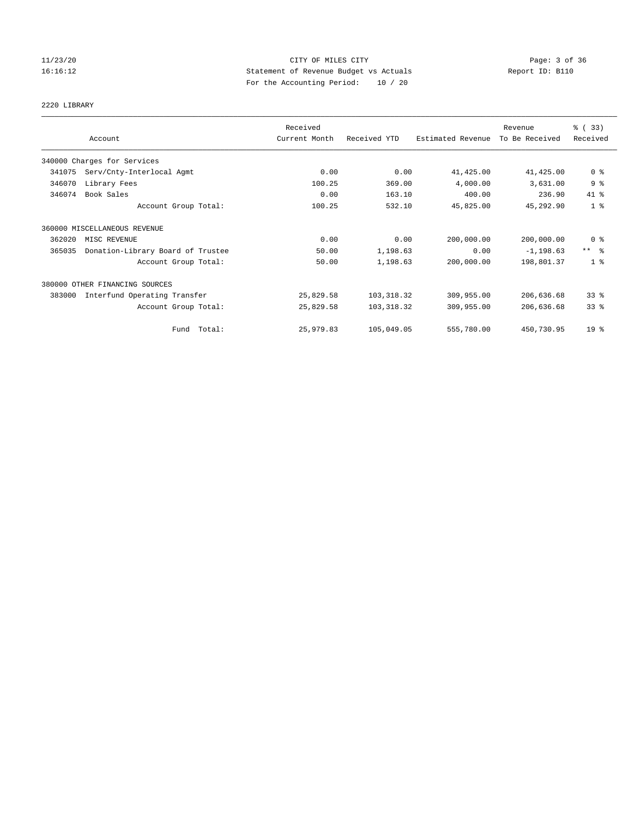# 11/23/20 CITY OF MILES CITY Page: 3 of 36 16:16:12 Statement of Revenue Budget vs Actuals Report ID: B110 For the Accounting Period: 10 / 20

# 2220 LIBRARY

|        | Account                           | Received<br>Current Month | Received YTD | Estimated Revenue | Revenue<br>To Be Received | % (33)<br>Received      |
|--------|-----------------------------------|---------------------------|--------------|-------------------|---------------------------|-------------------------|
|        | 340000 Charges for Services       |                           |              |                   |                           |                         |
| 341075 | Serv/Cnty-Interlocal Agmt         | 0.00                      | 0.00         | 41,425.00         | 41,425.00                 | 0 <sup>8</sup>          |
| 346070 | Library Fees                      | 100.25                    | 369.00       | 4,000.00          | 3,631.00                  | 9 <sup>°</sup>          |
| 346074 | Book Sales                        | 0.00                      | 163.10       | 400.00            | 236.90                    | 41 %                    |
|        | Account Group Total:              | 100.25                    | 532.10       | 45,825.00         | 45,292.90                 | 1 <sup>8</sup>          |
|        | 360000 MISCELLANEOUS REVENUE      |                           |              |                   |                           |                         |
| 362020 | MISC REVENUE                      | 0.00                      | 0.00         | 200,000.00        | 200,000.00                | 0 <sup>8</sup>          |
| 365035 | Donation-Library Board of Trustee | 50.00                     | 1,198.63     | 0.00              | $-1, 198.63$              | $***$ $=$ $\frac{6}{5}$ |
|        | Account Group Total:              | 50.00                     | 1,198.63     | 200,000.00        | 198,801.37                | 1 <sup>8</sup>          |
|        | 380000 OTHER FINANCING SOURCES    |                           |              |                   |                           |                         |
| 383000 | Interfund Operating Transfer      | 25,829.58                 | 103, 318.32  | 309,955.00        | 206,636.68                | 33%                     |
|        | Account Group Total:              | 25,829.58                 | 103, 318.32  | 309,955.00        | 206,636.68                | 33%                     |
|        | Fund Total:                       | 25,979.83                 | 105,049.05   | 555,780.00        | 450,730.95                | 19 <sup>°</sup>         |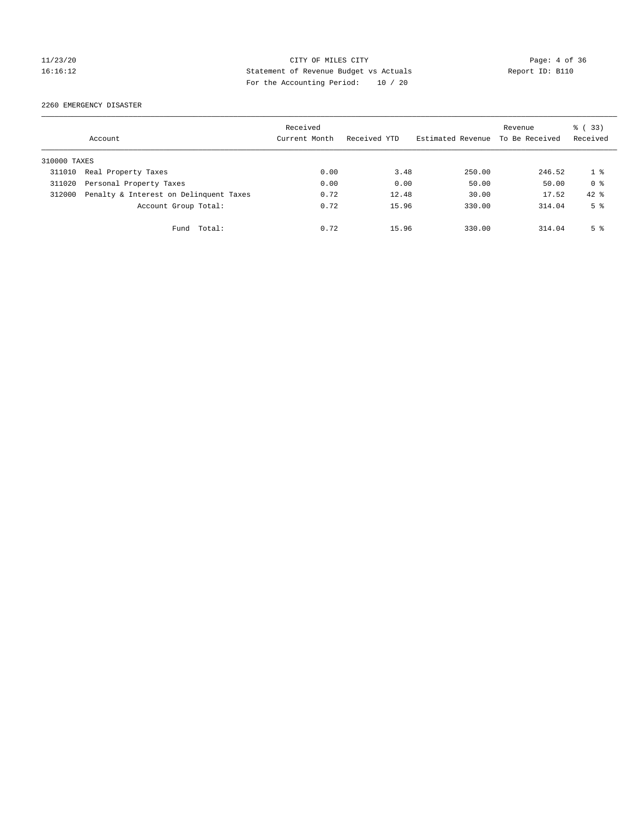# 11/23/20 CITY OF MILES CITY Page: 4 of 36 16:16:12 Statement of Revenue Budget vs Actuals Report ID: B110 For the Accounting Period: 10 / 20

2260 EMERGENCY DISASTER

|              | Account                                | Received<br>Current Month | Received YTD | Estimated Revenue | Revenue<br>To Be Received | % (33)<br>Received |
|--------------|----------------------------------------|---------------------------|--------------|-------------------|---------------------------|--------------------|
| 310000 TAXES |                                        |                           |              |                   |                           |                    |
| 311010       | Real Property Taxes                    | 0.00                      | 3.48         | 250.00            | 246.52                    | 18                 |
| 311020       | Personal Property Taxes                | 0.00                      | 0.00         | 50.00             | 50.00                     | 0 <sup>8</sup>     |
| 312000       | Penalty & Interest on Delinquent Taxes | 0.72                      | 12.48        | 30.00             | 17.52                     | $42*$              |
|              | Account Group Total:                   | 0.72                      | 15.96        | 330.00            | 314.04                    | 5 <sup>8</sup>     |
|              | Total:<br>Fund                         | 0.72                      | 15.96        | 330.00            | 314.04                    | 5 <sup>8</sup>     |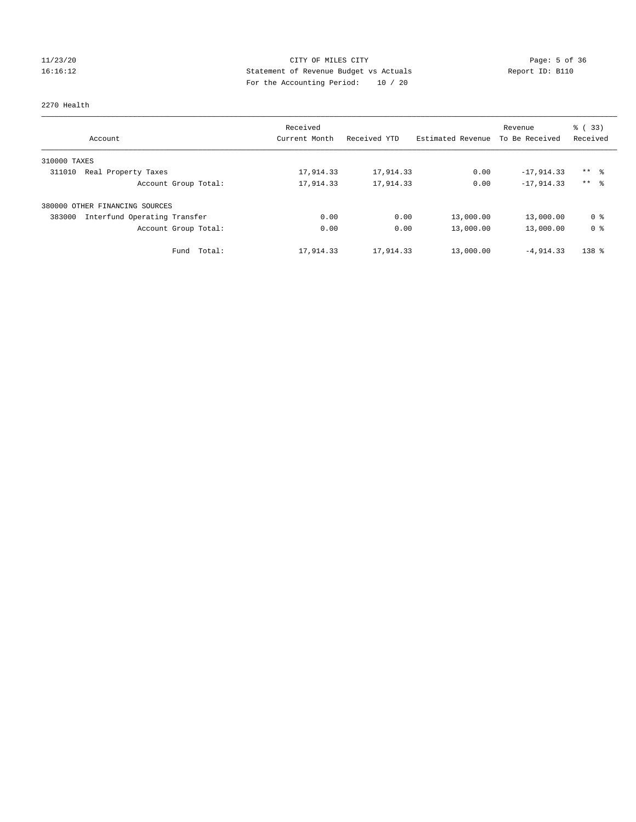# 11/23/20 CITY OF MILES CITY Page: 5 of 36 16:16:12 Statement of Revenue Budget vs Actuals Report ID: B110 For the Accounting Period: 10 / 20

#### 2270 Health

| Account                                | Received<br>Current Month | Received YTD | Estimated Revenue | Revenue<br>To Be Received | $\frac{6}{6}$ (33)<br>Received |
|----------------------------------------|---------------------------|--------------|-------------------|---------------------------|--------------------------------|
| 310000 TAXES                           |                           |              |                   |                           |                                |
| 311010<br>Real Property Taxes          | 17,914.33                 | 17,914.33    | 0.00              | $-17,914.33$              | $***$ $\approx$                |
| Account Group Total:                   | 17,914.33                 | 17,914.33    | 0.00              | $-17.914.33$              | ** %                           |
| 380000<br>OTHER FINANCING SOURCES      |                           |              |                   |                           |                                |
| Interfund Operating Transfer<br>383000 | 0.00                      | 0.00         | 13,000.00         | 13,000.00                 | 0 <sup>8</sup>                 |
| Account Group Total:                   | 0.00                      | 0.00         | 13,000.00         | 13,000.00                 | 0 <sup>8</sup>                 |
| Total:<br>Fund                         | 17,914.33                 | 17,914.33    | 13,000.00         | $-4.914.33$               | 138 <sup>8</sup>               |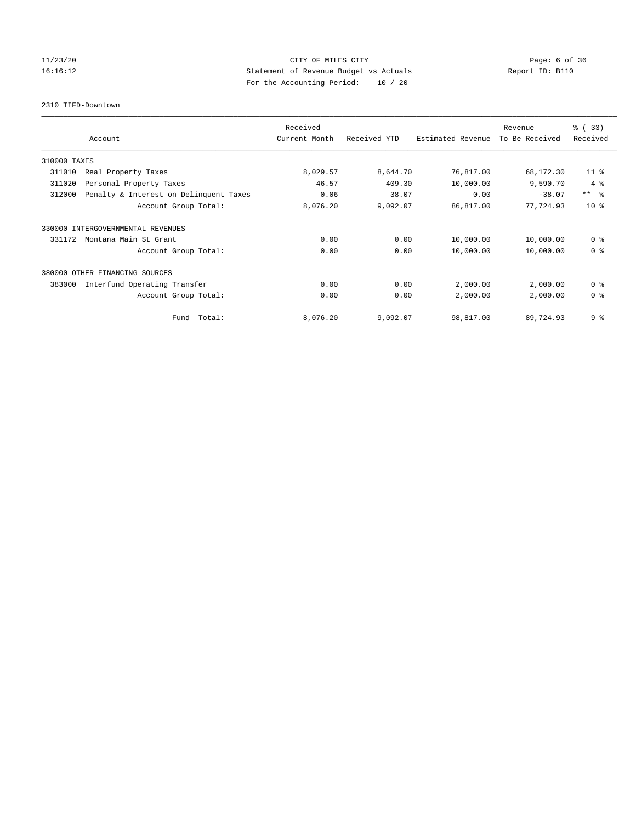# 11/23/20 CITY OF MILES CITY Page: 6 of 36 16:16:12 Statement of Revenue Budget vs Actuals Report ID: B110 For the Accounting Period: 10 / 20

2310 TIFD-Downtown

|              |                                        | Received      |              |                   | Revenue        | % (33)         |
|--------------|----------------------------------------|---------------|--------------|-------------------|----------------|----------------|
|              | Account                                | Current Month | Received YTD | Estimated Revenue | To Be Received | Received       |
| 310000 TAXES |                                        |               |              |                   |                |                |
| 311010       | Real Property Taxes                    | 8,029.57      | 8,644.70     | 76,817.00         | 68,172.30      | $11$ %         |
| 311020       | Personal Property Taxes                | 46.57         | 409.30       | 10,000.00         | 9,590.70       | 4%             |
| 312000       | Penalty & Interest on Delinquent Taxes | 0.06          | 38.07        | 0.00              | $-38.07$       | $***$ $  -$    |
|              | Account Group Total:                   | 8,076.20      | 9,092.07     | 86,817.00         | 77,724.93      | $10*$          |
| 330000       | INTERGOVERNMENTAL REVENUES             |               |              |                   |                |                |
| 331172       | Montana Main St Grant                  | 0.00          | 0.00         | 10,000.00         | 10,000.00      | 0 <sup>8</sup> |
|              | Account Group Total:                   | 0.00          | 0.00         | 10,000.00         | 10,000.00      | 0 <sup>8</sup> |
|              | 380000 OTHER FINANCING SOURCES         |               |              |                   |                |                |
| 383000       | Interfund Operating Transfer           | 0.00          | 0.00         | 2,000.00          | 2,000.00       | 0 <sup>8</sup> |
|              | Account Group Total:                   | 0.00          | 0.00         | 2,000.00          | 2,000.00       | 0 <sup>8</sup> |
|              | Fund Total:                            | 8,076.20      | 9,092.07     | 98,817.00         | 89,724.93      | 9%             |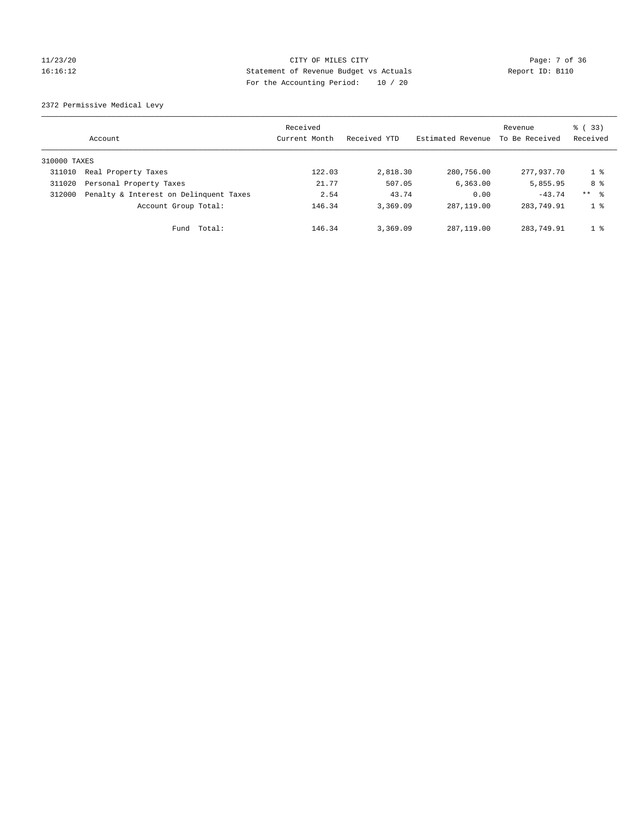# 11/23/20 CITY OF MILES CITY Page: 7 of 36 16:16:12 Statement of Revenue Budget vs Actuals Report ID: B110 For the Accounting Period: 10 / 20

2372 Permissive Medical Levy

|              | Account                                | Received<br>Current Month | Received YTD | Estimated Revenue | Revenue<br>To Be Received | 8 (33)<br>Received |
|--------------|----------------------------------------|---------------------------|--------------|-------------------|---------------------------|--------------------|
| 310000 TAXES |                                        |                           |              |                   |                           |                    |
| 311010       | Real Property Taxes                    | 122.03                    | 2,818.30     | 280,756.00        | 277.937.70                | $1 \circ$          |
| 311020       | Personal Property Taxes                | 21.77                     | 507.05       | 6, 363.00         | 5,855.95                  | 8 %                |
| 312000       | Penalty & Interest on Delinquent Taxes | 2.54                      | 43.74        | 0.00              | $-43.74$                  | ** %               |
|              | Account Group Total:                   | 146.34                    | 3,369.09     | 287, 119, 00      | 283,749.91                | 1 <sup>8</sup>     |
|              | Total:<br>Fund                         | 146.34                    | 3,369.09     | 287, 119, 00      | 283,749.91                | 1 <sup>8</sup>     |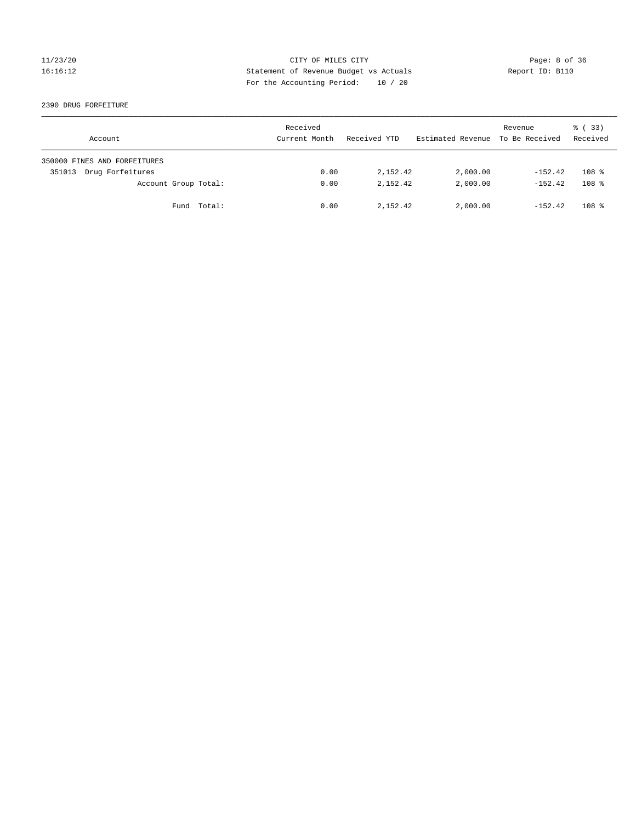# 11/23/20 CITY OF MILES CITY Page: 8 of 36 16:16:12 Statement of Revenue Budget vs Actuals Report ID: B110 For the Accounting Period: 10 / 20

#### 2390 DRUG FORFEITURE

| Account                      | Received<br>Current Month | Received YTD | Estimated Revenue | Revenue<br>To Be Received | 8 (33)<br>Received |
|------------------------------|---------------------------|--------------|-------------------|---------------------------|--------------------|
| 350000 FINES AND FORFEITURES |                           |              |                   |                           |                    |
| Drug Forfeitures<br>351013   | 0.00                      | 2,152.42     | 2,000.00          | $-152.42$                 | 108 <sup>8</sup>   |
| Account Group Total:         | 0.00                      | 2,152.42     | 2,000.00          | $-152.42$                 | 108 <sup>8</sup>   |
| Fund Total:                  | 0.00                      | 2,152.42     | 2,000.00          | $-152.42$                 | 108 <sup>8</sup>   |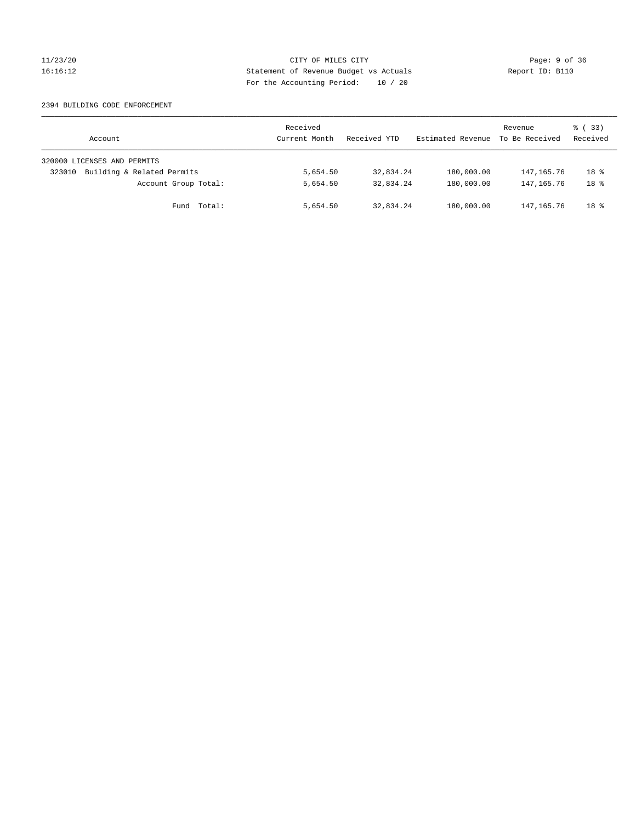# 11/23/20 CITY OF MILES CITY Page: 9 of 36 16:16:12 Statement of Revenue Budget vs Actuals Report ID: B110 For the Accounting Period: 10 / 20

#### 2394 BUILDING CODE ENFORCEMENT

| Account                              | Received<br>Current Month | Received YTD | Estimated Revenue | Revenue<br>To Be Received | 8 (33)<br>Received |
|--------------------------------------|---------------------------|--------------|-------------------|---------------------------|--------------------|
| 320000 LICENSES AND PERMITS          |                           |              |                   |                           |                    |
| Building & Related Permits<br>323010 | 5,654.50                  | 32,834.24    | 180,000.00        | 147,165.76                | 18 <sup>8</sup>    |
| Account Group Total:                 | 5,654.50                  | 32,834.24    | 180,000.00        | 147,165.76                | 18 <sup>8</sup>    |
| Fund Total:                          | 5,654.50                  | 32,834.24    | 180,000.00        | 147,165.76                | 18 <sup>°</sup>    |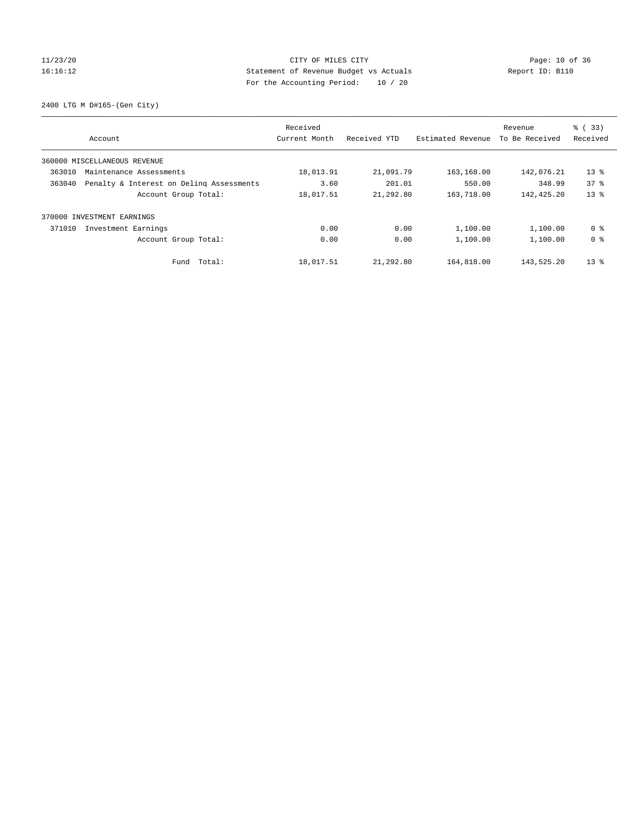# 11/23/20 Page: 10 of 36 16:16:12 Statement of Revenue Budget vs Actuals Report ID: B110 For the Accounting Period: 10 / 20

2400 LTG M D#165-(Gen City)

| Account                                            | Received<br>Current Month | Received YTD | Estimated Revenue | Revenue<br>To Be Received | $\frac{1}{6}$ (33)<br>Received |
|----------------------------------------------------|---------------------------|--------------|-------------------|---------------------------|--------------------------------|
| 360000 MISCELLANEOUS REVENUE                       |                           |              |                   |                           |                                |
| 363010<br>Maintenance Assessments                  | 18,013.91                 | 21,091.79    | 163,168.00        | 142,076.21                | $13*$                          |
| Penalty & Interest on Deling Assessments<br>363040 | 3.60                      | 201.01       | 550.00            | 348.99                    | 378                            |
| Account Group Total:                               | 18,017.51                 | 21,292.80    | 163,718.00        | 142,425.20                | 13 <sup>°</sup>                |
| INVESTMENT EARNINGS<br>370000                      |                           |              |                   |                           |                                |
| 371010<br>Investment Earnings                      | 0.00                      | 0.00         | 1,100.00          | 1,100.00                  | 0 <sup>8</sup>                 |
| Account Group Total:                               | 0.00                      | 0.00         | 1,100.00          | 1,100.00                  | 0 <sup>8</sup>                 |
| Fund Total:                                        | 18,017.51                 | 21,292.80    | 164,818.00        | 143,525.20                | $13*$                          |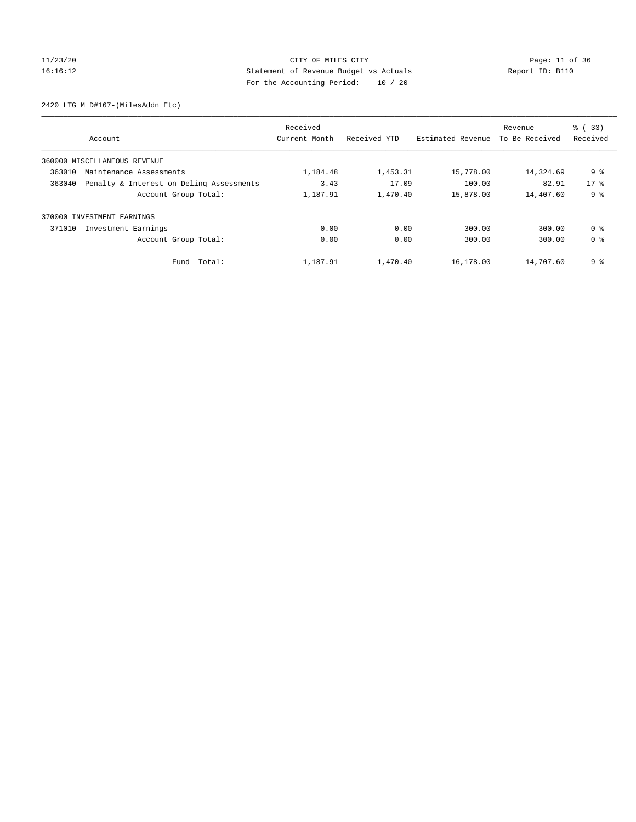# 11/23/20 Page: 11 of 36 16:16:12 Statement of Revenue Budget vs Actuals Report ID: B110 For the Accounting Period: 10 / 20

2420 LTG M D#167-(MilesAddn Etc)

|        | Account                                  | Received<br>Current Month | Received YTD | Estimated Revenue | Revenue<br>To Be Received | % (33)<br>Received |
|--------|------------------------------------------|---------------------------|--------------|-------------------|---------------------------|--------------------|
|        | 360000 MISCELLANEOUS REVENUE             |                           |              |                   |                           |                    |
| 363010 | Maintenance Assessments                  | 1,184.48                  | 1,453.31     | 15,778.00         | 14,324.69                 | 9 <sub>8</sub>     |
| 363040 | Penalty & Interest on Deling Assessments | 3.43                      | 17.09        | 100.00            | 82.91                     | $17*$              |
|        | Account Group Total:                     | 1,187.91                  | 1,470.40     | 15,878.00         | 14,407.60                 | 9 <sub>8</sub>     |
|        | 370000 INVESTMENT EARNINGS               |                           |              |                   |                           |                    |
| 371010 | Investment Earnings                      | 0.00                      | 0.00         | 300.00            | 300.00                    | 0 <sup>8</sup>     |
|        | Account Group Total:                     | 0.00                      | 0.00         | 300.00            | 300.00                    | 0 <sup>8</sup>     |
|        | Fund Total:                              | 1,187.91                  | 1,470.40     | 16,178.00         | 14,707.60                 | 9 %                |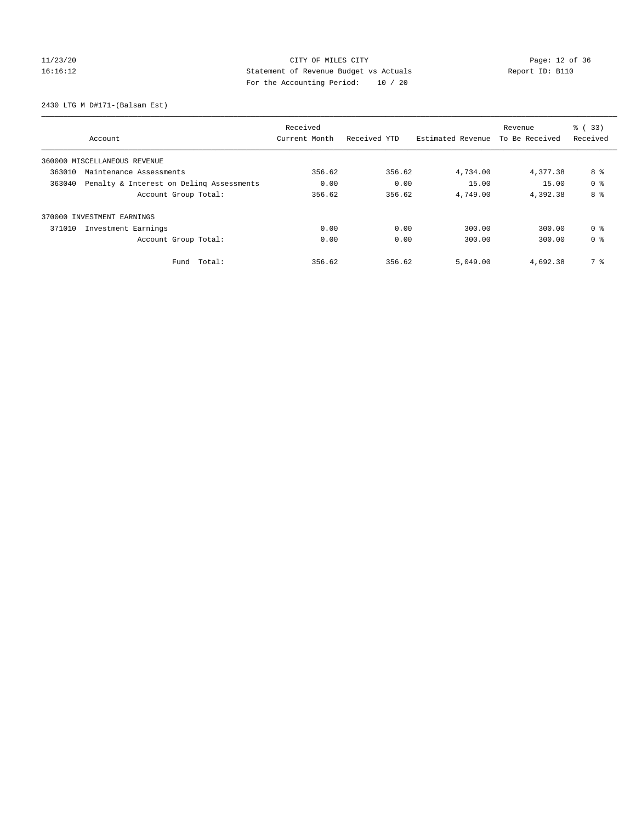# 11/23/20 Page: 12 of 36 16:16:12 Statement of Revenue Budget vs Actuals Report ID: B110 For the Accounting Period: 10 / 20

2430 LTG M D#171-(Balsam Est)

|                                                    | Received      |              |                   | Revenue        | % (33)         |
|----------------------------------------------------|---------------|--------------|-------------------|----------------|----------------|
| Account                                            | Current Month | Received YTD | Estimated Revenue | To Be Received | Received       |
| 360000 MISCELLANEOUS REVENUE                       |               |              |                   |                |                |
| 363010<br>Maintenance Assessments                  | 356.62        | 356.62       | 4,734.00          | 4,377.38       | 8 %            |
| 363040<br>Penalty & Interest on Deling Assessments | 0.00          | 0.00         | 15.00             | 15.00          | 0 <sup>8</sup> |
| Account Group Total:                               | 356.62        | 356.62       | 4,749.00          | 4,392.38       | 8 %            |
| 370000 INVESTMENT EARNINGS                         |               |              |                   |                |                |
| Investment Earnings<br>371010                      | 0.00          | 0.00         | 300.00            | 300.00         | 0 <sup>8</sup> |
| Account Group Total:                               | 0.00          | 0.00         | 300.00            | 300.00         | 0 <sup>8</sup> |
| Total:<br>Fund                                     | 356.62        | 356.62       | 5,049.00          | 4,692.38       | 7 %            |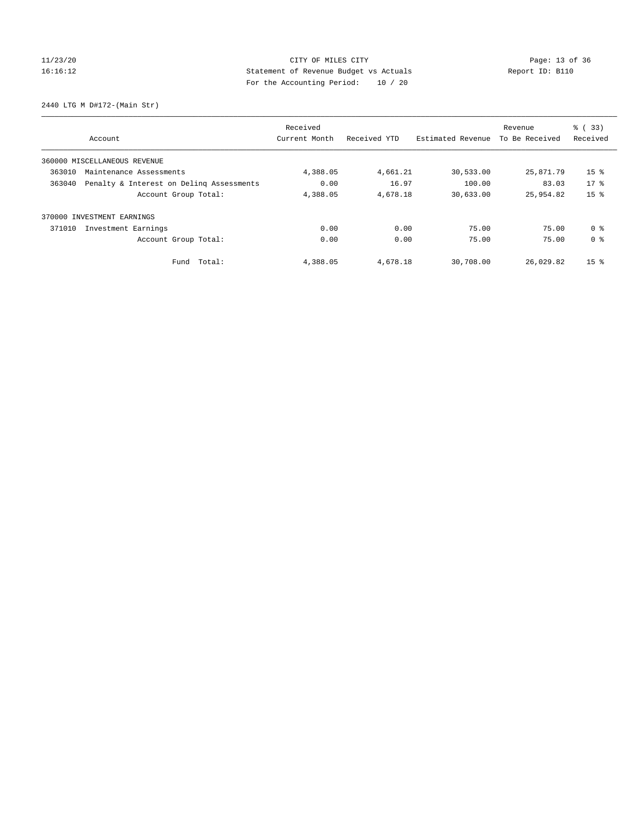# 11/23/20 Page: 13 of 36 16:16:12 Statement of Revenue Budget vs Actuals Report ID: B110 For the Accounting Period: 10 / 20

2440 LTG M D#172-(Main Str)

|        | Account                                  | Received<br>Current Month | Received YTD | Estimated Revenue | Revenue<br>To Be Received | % (33)<br>Received |
|--------|------------------------------------------|---------------------------|--------------|-------------------|---------------------------|--------------------|
|        | 360000 MISCELLANEOUS REVENUE             |                           |              |                   |                           |                    |
| 363010 | Maintenance Assessments                  | 4,388.05                  | 4,661.21     | 30,533.00         | 25,871.79                 | 15 <sup>8</sup>    |
| 363040 | Penalty & Interest on Deling Assessments | 0.00                      | 16.97        | 100.00            | 83.03                     | $17*$              |
|        | Account Group Total:                     | 4,388.05                  | 4,678.18     | 30,633.00         | 25,954.82                 | 15 <sup>°</sup>    |
|        | 370000 INVESTMENT EARNINGS               |                           |              |                   |                           |                    |
| 371010 | Investment Earnings                      | 0.00                      | 0.00         | 75.00             | 75.00                     | 0 <sup>8</sup>     |
|        | Account Group Total:                     | 0.00                      | 0.00         | 75.00             | 75.00                     | 0 <sup>8</sup>     |
|        | Fund Total:                              | 4,388.05                  | 4,678.18     | 30,708.00         | 26,029.82                 | 15 <sub>8</sub>    |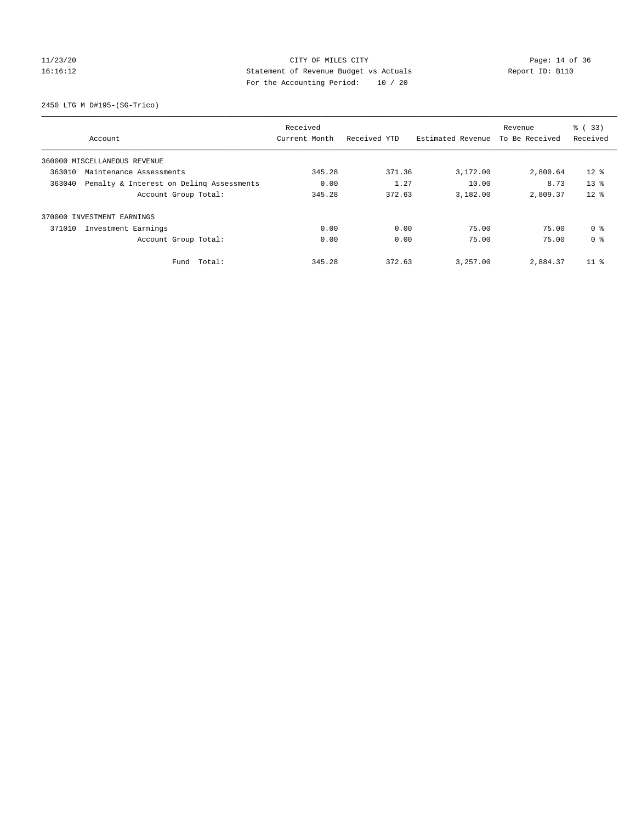# 11/23/20 Page: 14 of 36 16:16:12 Statement of Revenue Budget vs Actuals Report ID: B110 For the Accounting Period: 10 / 20

2450 LTG M D#195-(SG-Trico)

|        |                                          | Received      |              |                   | Revenue        | % (33)          |
|--------|------------------------------------------|---------------|--------------|-------------------|----------------|-----------------|
|        | Account                                  | Current Month | Received YTD | Estimated Revenue | To Be Received | Received        |
|        | 360000 MISCELLANEOUS REVENUE             |               |              |                   |                |                 |
| 363010 | Maintenance Assessments                  | 345.28        | 371.36       | 3,172.00          | 2,800.64       | $12$ %          |
| 363040 | Penalty & Interest on Deling Assessments | 0.00          | 1.27         | 10.00             | 8.73           | 13 <sup>8</sup> |
|        | Account Group Total:                     | 345.28        | 372.63       | 3,182.00          | 2,809.37       | 12 <sup>8</sup> |
|        | 370000 INVESTMENT EARNINGS               |               |              |                   |                |                 |
| 371010 | Investment Earnings                      | 0.00          | 0.00         | 75.00             | 75.00          | 0 <sup>8</sup>  |
|        | Account Group Total:                     | 0.00          | 0.00         | 75.00             | 75.00          | 0 <sup>8</sup>  |
|        | Fund Total:                              | 345.28        | 372.63       | 3,257.00          | 2,884.37       | $11$ %          |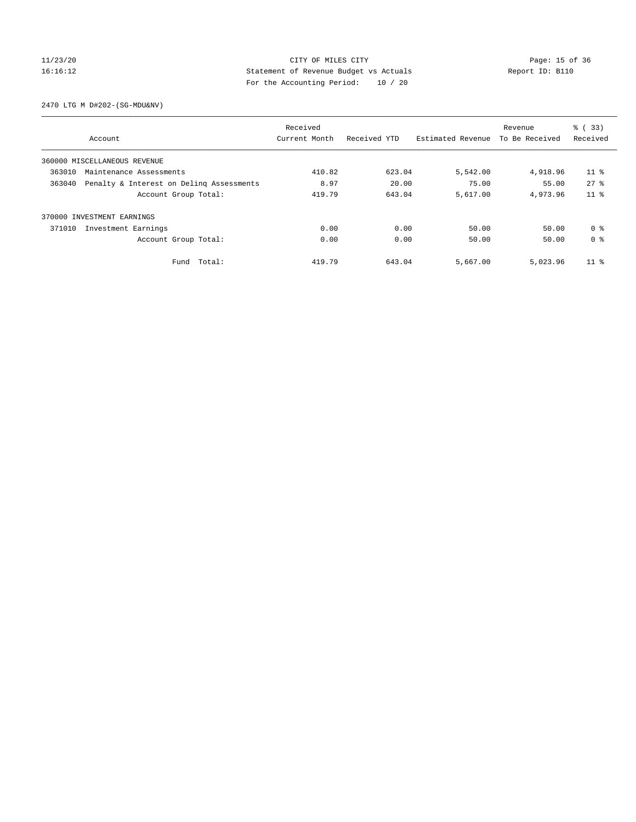# 11/23/20 Page: 15 of 36 CITY OF MILES CITY CONTROL PAGE: 15 of 36 16:16:12 Statement of Revenue Budget vs Actuals Report ID: B110 For the Accounting Period: 10 / 20

2470 LTG M D#202-(SG-MDU&NV)

|        |                                          | Received      |              |                   | Revenue        | % (33)          |
|--------|------------------------------------------|---------------|--------------|-------------------|----------------|-----------------|
|        | Account                                  | Current Month | Received YTD | Estimated Revenue | To Be Received | Received        |
|        | 360000 MISCELLANEOUS REVENUE             |               |              |                   |                |                 |
| 363010 | Maintenance Assessments                  | 410.82        | 623.04       | 5,542.00          | 4,918.96       | 11 <sup>8</sup> |
| 363040 | Penalty & Interest on Deling Assessments | 8.97          | 20.00        | 75.00             | 55.00          | 278             |
|        | Account Group Total:                     | 419.79        | 643.04       | 5,617.00          | 4,973.96       | $11*$           |
| 370000 | INVESTMENT EARNINGS                      |               |              |                   |                |                 |
| 371010 | Investment Earnings                      | 0.00          | 0.00         | 50.00             | 50.00          | 0 <sup>8</sup>  |
|        | Account Group Total:                     | 0.00          | 0.00         | 50.00             | 50.00          | 0 <sup>8</sup>  |
|        | Fund Total:                              | 419.79        | 643.04       | 5,667.00          | 5,023.96       | $11*$           |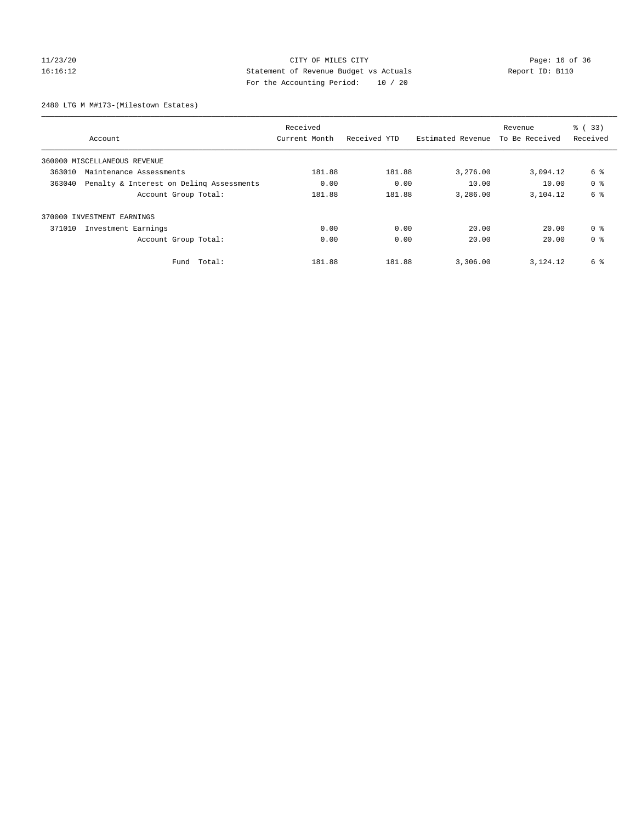# 11/23/20 Page: 16 of 36 CITY OF MILES CITY CHANGES CONTROL PAGE: 16 of 36 16:16:12 Statement of Revenue Budget vs Actuals Report ID: B110 For the Accounting Period: 10 / 20

2480 LTG M M#173-(Milestown Estates)

|        |                                          | Received      |              |                   | Revenue        | % (33)         |
|--------|------------------------------------------|---------------|--------------|-------------------|----------------|----------------|
|        | Account                                  | Current Month | Received YTD | Estimated Revenue | To Be Received | Received       |
|        | 360000 MISCELLANEOUS REVENUE             |               |              |                   |                |                |
| 363010 | Maintenance Assessments                  | 181.88        | 181.88       | 3,276.00          | 3,094.12       | 6 %            |
| 363040 | Penalty & Interest on Deling Assessments | 0.00          | 0.00         | 10.00             | 10.00          | 0 <sup>8</sup> |
|        | Account Group Total:                     | 181.88        | 181.88       | 3,286.00          | 3,104.12       | 6 %            |
|        | 370000 INVESTMENT EARNINGS               |               |              |                   |                |                |
| 371010 | Investment Earnings                      | 0.00          | 0.00         | 20.00             | 20.00          | 0 <sup>8</sup> |
|        | Account Group Total:                     | 0.00          | 0.00         | 20.00             | 20.00          | 0 <sup>8</sup> |
|        | Total:<br>Fund                           | 181.88        | 181.88       | 3,306.00          | 3,124.12       | 6 %            |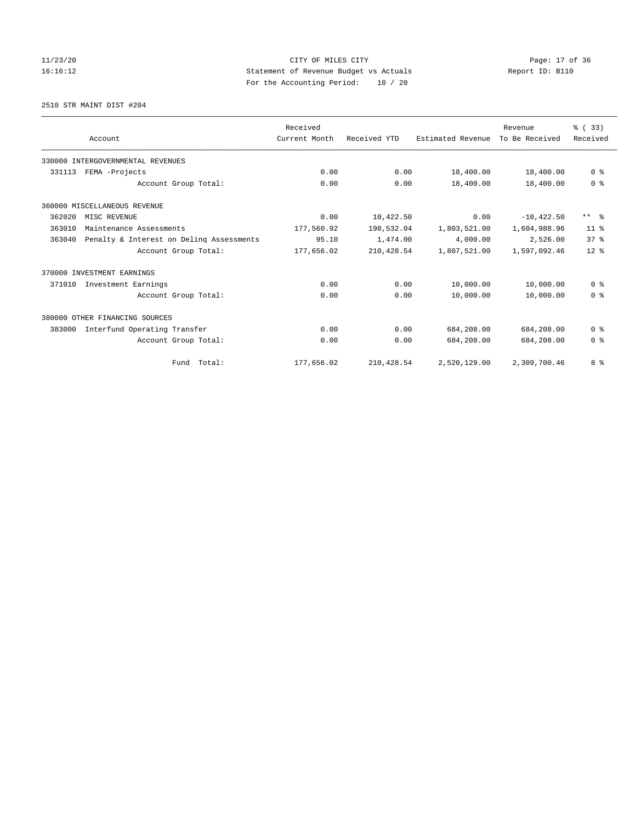# 11/23/20 Page: 17 of 36 16:16:12 Statement of Revenue Budget vs Actuals Report ID: B110 For the Accounting Period: 10 / 20

2510 STR MAINT DIST #204

|        |                                          | Received      |              |                   | Revenue        | % (33)                  |
|--------|------------------------------------------|---------------|--------------|-------------------|----------------|-------------------------|
|        | Account                                  | Current Month | Received YTD | Estimated Revenue | To Be Received | Received                |
|        | 330000 INTERGOVERNMENTAL REVENUES        |               |              |                   |                |                         |
| 331113 | FEMA -Projects                           | 0.00          | 0.00         | 18,400.00         | 18,400.00      | 0 <sup>8</sup>          |
|        | Account Group Total:                     | 0.00          | 0.00         | 18,400.00         | 18,400.00      | 0 <sup>8</sup>          |
|        | 360000 MISCELLANEOUS REVENUE             |               |              |                   |                |                         |
| 362020 | MISC REVENUE                             | 0.00          | 10,422.50    | 0.00              | $-10, 422.50$  | $***$ $=$ $\frac{6}{5}$ |
| 363010 | Maintenance Assessments                  | 177,560.92    | 198,532.04   | 1,803,521.00      | 1,604,988.96   | $11*$                   |
| 363040 | Penalty & Interest on Deling Assessments | 95.10         | 1,474.00     | 4,000.00          | 2,526.00       | 37 <sup>8</sup>         |
|        | Account Group Total:                     | 177,656.02    | 210, 428.54  | 1,807,521.00      | 1,597,092.46   | $12*$                   |
|        | 370000 INVESTMENT EARNINGS               |               |              |                   |                |                         |
| 371010 | Investment Earnings                      | 0.00          | 0.00         | 10,000.00         | 10,000.00      | 0 <sup>8</sup>          |
|        | Account Group Total:                     | 0.00          | 0.00         | 10,000.00         | 10,000.00      | 0 <sup>8</sup>          |
|        | 380000 OTHER FINANCING SOURCES           |               |              |                   |                |                         |
| 383000 | Interfund Operating Transfer             | 0.00          | 0.00         | 684,208.00        | 684,208.00     | 0 <sup>8</sup>          |
|        | Account Group Total:                     | 0.00          | 0.00         | 684,208.00        | 684,208.00     | 0 <sup>8</sup>          |
|        | Fund Total:                              | 177,656.02    | 210, 428.54  | 2,520,129.00      | 2,309,700.46   | 8 %                     |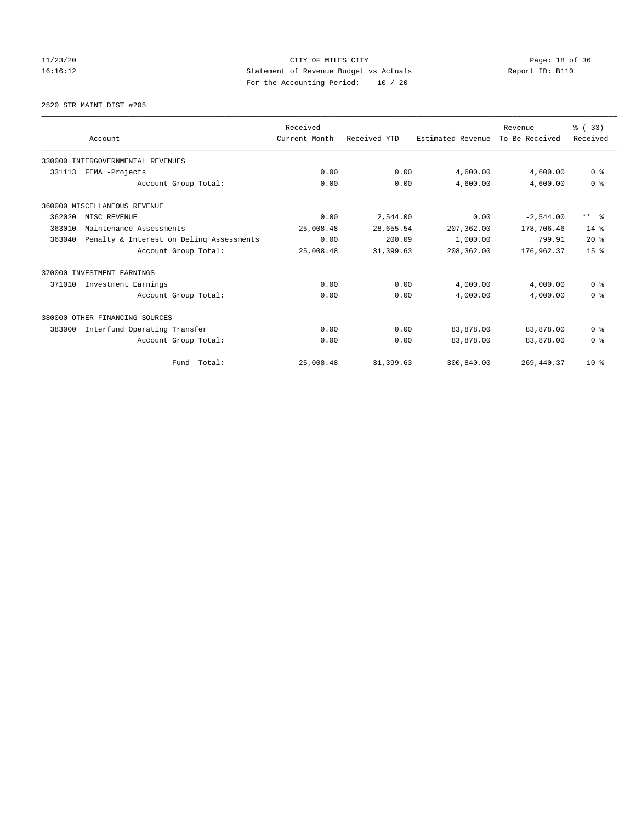# 11/23/20 Page: 18 of 36 16:16:12 Statement of Revenue Budget vs Actuals Report ID: B110 For the Accounting Period: 10 / 20

2520 STR MAINT DIST #205

|        |                                          | Received      |              |                   | Revenue        | % (33)                  |
|--------|------------------------------------------|---------------|--------------|-------------------|----------------|-------------------------|
|        | Account                                  | Current Month | Received YTD | Estimated Revenue | To Be Received | Received                |
|        | 330000 INTERGOVERNMENTAL REVENUES        |               |              |                   |                |                         |
| 331113 | FEMA -Projects                           | 0.00          | 0.00         | 4,600.00          | 4,600.00       | 0 <sup>8</sup>          |
|        | Account Group Total:                     | 0.00          | 0.00         | 4,600.00          | 4,600.00       | 0 <sup>8</sup>          |
|        | 360000 MISCELLANEOUS REVENUE             |               |              |                   |                |                         |
| 362020 | MISC REVENUE                             | 0.00          | 2,544.00     | 0.00              | $-2,544.00$    | $***$ $=$ $\frac{6}{5}$ |
| 363010 | Maintenance Assessments                  | 25,008.48     | 28,655.54    | 207,362.00        | 178,706.46     | $14*$                   |
| 363040 | Penalty & Interest on Deling Assessments | 0.00          | 200.09       | 1,000.00          | 799.91         | $20*$                   |
|        | Account Group Total:                     | 25,008.48     | 31,399.63    | 208,362.00        | 176,962.37     | 15 <sup>°</sup>         |
|        | 370000 INVESTMENT EARNINGS               |               |              |                   |                |                         |
| 371010 | Investment Earnings                      | 0.00          | 0.00         | 4,000.00          | 4,000.00       | 0 <sup>8</sup>          |
|        | Account Group Total:                     | 0.00          | 0.00         | 4,000.00          | 4,000.00       | 0 <sup>8</sup>          |
|        | 380000 OTHER FINANCING SOURCES           |               |              |                   |                |                         |
| 383000 | Interfund Operating Transfer             | 0.00          | 0.00         | 83,878.00         | 83,878.00      | 0 <sup>8</sup>          |
|        | Account Group Total:                     | 0.00          | 0.00         | 83,878.00         | 83,878.00      | 0 <sup>8</sup>          |
|        | Fund Total:                              | 25,008.48     | 31,399.63    | 300,840.00        | 269, 440.37    | $10*$                   |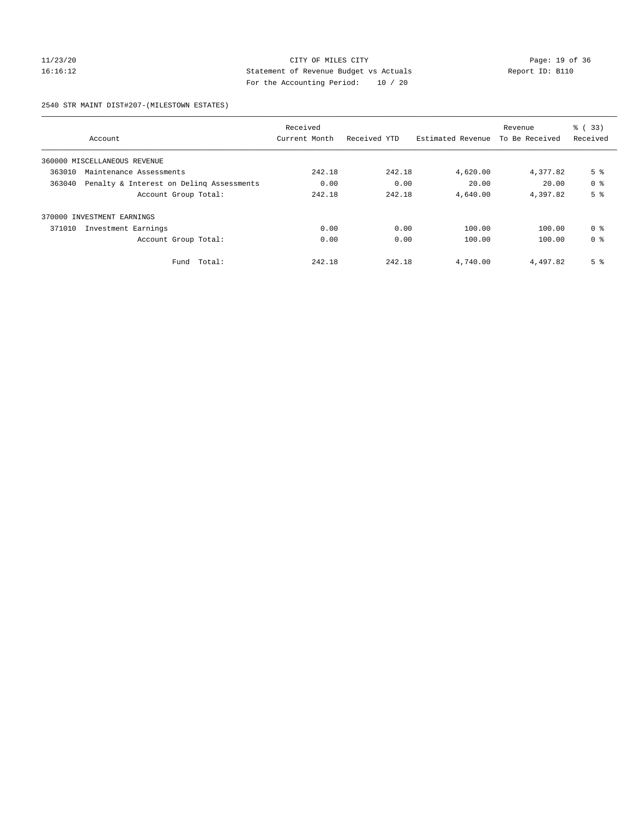# 11/23/20 Page: 19 of 36 16:16:12 Statement of Revenue Budget vs Actuals Report ID: B110 For the Accounting Period: 10 / 20

#### 2540 STR MAINT DIST#207-(MILESTOWN ESTATES)

|        | Account                                  | Received<br>Current Month | Received YTD | Estimated Revenue | Revenue<br>To Be Received | $\frac{1}{6}$ (33)<br>Received |
|--------|------------------------------------------|---------------------------|--------------|-------------------|---------------------------|--------------------------------|
|        | 360000 MISCELLANEOUS REVENUE             |                           |              |                   |                           |                                |
| 363010 | Maintenance Assessments                  | 242.18                    | 242.18       | 4,620.00          | 4,377.82                  | 5 <sup>8</sup>                 |
| 363040 | Penalty & Interest on Deling Assessments | 0.00                      | 0.00         | 20.00             | 20.00                     | 0 <sup>8</sup>                 |
|        | Account Group Total:                     | 242.18                    | 242.18       | 4,640.00          | 4,397.82                  | 5 <sup>8</sup>                 |
| 370000 | INVESTMENT EARNINGS                      |                           |              |                   |                           |                                |
| 371010 | Investment Earnings                      | 0.00                      | 0.00         | 100.00            | 100.00                    | 0 <sup>8</sup>                 |
|        | Account Group Total:                     | 0.00                      | 0.00         | 100.00            | 100.00                    | 0 <sup>8</sup>                 |
|        | Total:<br>Fund                           | 242.18                    | 242.18       | 4,740.00          | 4,497.82                  | 5 <sup>8</sup>                 |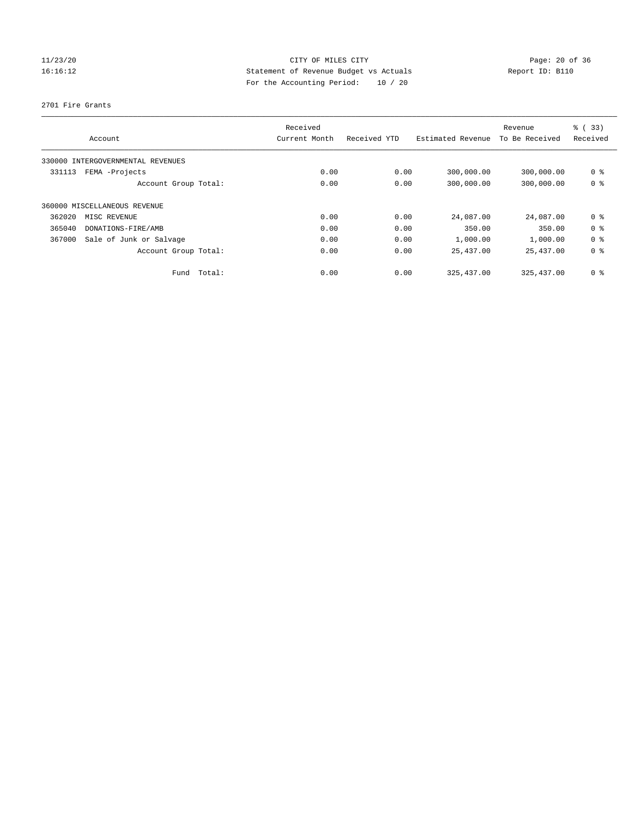# 11/23/20 Page: 20 of 36 16:16:12 Statement of Revenue Budget vs Actuals Report ID: B110 For the Accounting Period: 10 / 20

#### 2701 Fire Grants

| Account                           |                      | Received<br>Current Month | Received YTD | Estimated Revenue | Revenue<br>To Be Received | % (33)<br>Received |
|-----------------------------------|----------------------|---------------------------|--------------|-------------------|---------------------------|--------------------|
| 330000 INTERGOVERNMENTAL REVENUES |                      |                           |              |                   |                           |                    |
| 331113<br>FEMA -Projects          |                      | 0.00                      | 0.00         | 300,000.00        | 300,000.00                | 0 <sup>8</sup>     |
|                                   | Account Group Total: | 0.00                      | 0.00         | 300,000.00        | 300,000.00                | 0 <sup>8</sup>     |
| 360000 MISCELLANEOUS REVENUE      |                      |                           |              |                   |                           |                    |
| 362020<br>MISC REVENUE            |                      | 0.00                      | 0.00         | 24,087.00         | 24,087.00                 | 0 <sup>8</sup>     |
| 365040<br>DONATIONS-FIRE/AMB      |                      | 0.00                      | 0.00         | 350.00            | 350.00                    | 0 <sup>8</sup>     |
| 367000<br>Sale of Junk or Salvage |                      | 0.00                      | 0.00         | 1,000.00          | 1,000.00                  | 0 <sup>8</sup>     |
|                                   | Account Group Total: | 0.00                      | 0.00         | 25,437.00         | 25,437.00                 | 0 <sup>8</sup>     |
|                                   | Total:<br>Fund       | 0.00                      | 0.00         | 325, 437.00       | 325, 437, 00              | 0 <sup>8</sup>     |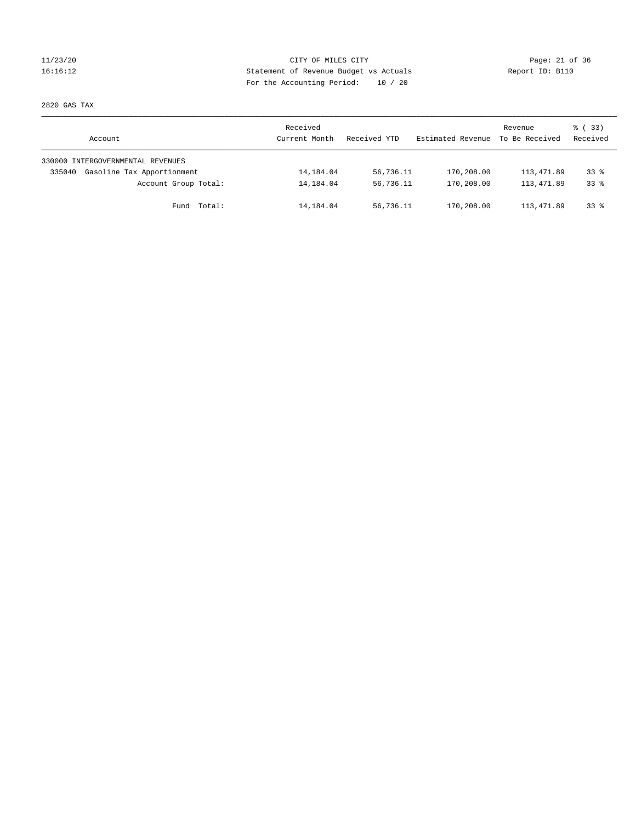# 11/23/20 Page: 21 of 36 CITY OF MILES CITY CHANGES CITY 16:16:12 Statement of Revenue Budget vs Actuals Report ID: B110 For the Accounting Period: 10 / 20

2820 GAS TAX

| Account                              | Received<br>Current Month | Received YTD | Estimated Revenue | Revenue<br>To Be Received | 8 (33)<br>Received |
|--------------------------------------|---------------------------|--------------|-------------------|---------------------------|--------------------|
| 330000 INTERGOVERNMENTAL REVENUES    |                           |              |                   |                           |                    |
| Gasoline Tax Apportionment<br>335040 | 14,184.04                 | 56,736.11    | 170,208.00        | 113,471.89                | $33*$              |
| Account Group Total:                 | 14,184.04                 | 56,736.11    | 170,208.00        | 113,471.89                | $33*$              |
| Total:<br>Fund                       | 14,184.04                 | 56,736.11    | 170,208.00        | 113,471.89                | $33*$              |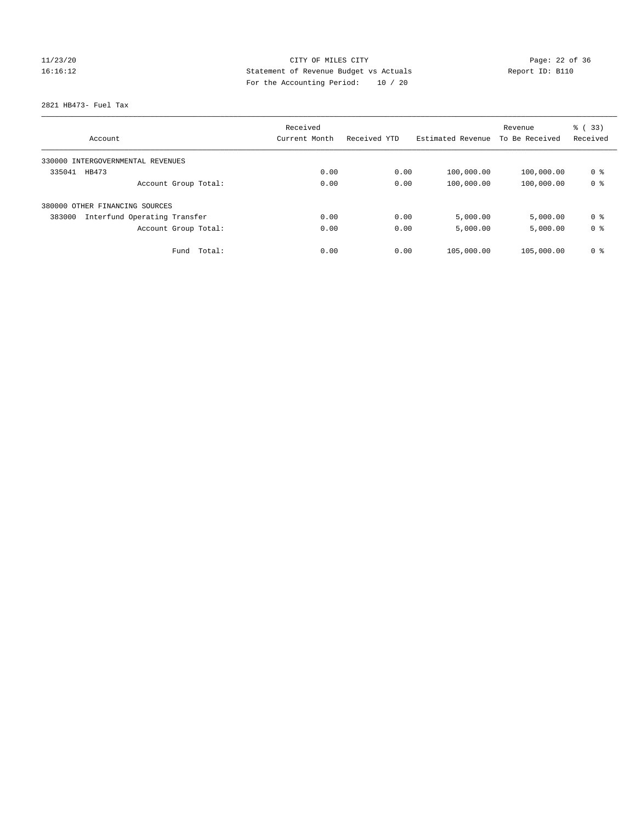# 11/23/20 Page: 22 of 36 16:16:12 Statement of Revenue Budget vs Actuals Report ID: B110 For the Accounting Period: 10 / 20

#### 2821 HB473- Fuel Tax

|                                        | Received      |              | Revenue           | % (33)         |                |
|----------------------------------------|---------------|--------------|-------------------|----------------|----------------|
| Account                                | Current Month | Received YTD | Estimated Revenue | To Be Received | Received       |
| 330000 INTERGOVERNMENTAL REVENUES      |               |              |                   |                |                |
| 335041<br>HB473                        | 0.00          | 0.00         | 100,000.00        | 100,000.00     | 0 <sup>8</sup> |
| Account Group Total:                   | 0.00          | 0.00         | 100,000.00        | 100,000.00     | 0 <sup>8</sup> |
| 380000 OTHER FINANCING SOURCES         |               |              |                   |                |                |
| Interfund Operating Transfer<br>383000 | 0.00          | 0.00         | 5,000.00          | 5,000.00       | 0 <sup>8</sup> |
| Account Group Total:                   | 0.00          | 0.00         | 5,000.00          | 5,000.00       | 0 <sup>8</sup> |
| Total:<br>Fund                         | 0.00          | 0.00         | 105,000.00        | 105,000.00     | 0 %            |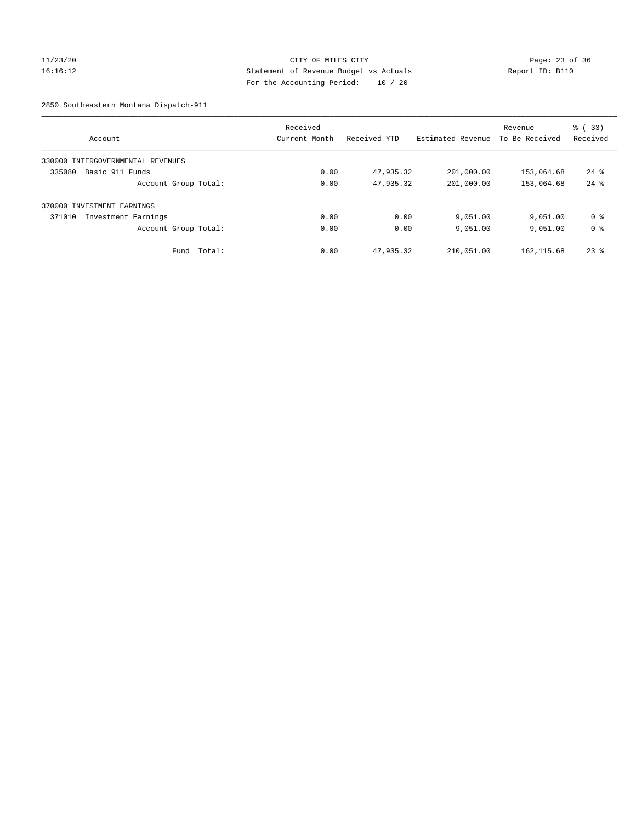# 11/23/20 Page: 23 of 36 16:16:12 Statement of Revenue Budget vs Actuals Report ID: B110 For the Accounting Period: 10 / 20

2850 Southeastern Montana Dispatch-911

|                                      | Received      |              |                   | Revenue        | % (33)             |
|--------------------------------------|---------------|--------------|-------------------|----------------|--------------------|
| Account                              | Current Month | Received YTD | Estimated Revenue | To Be Received | Received           |
| INTERGOVERNMENTAL REVENUES<br>330000 |               |              |                   |                |                    |
| Basic 911 Funds<br>335080            | 0.00          | 47,935.32    | 201,000.00        | 153,064.68     | $24$ $\frac{6}{3}$ |
| Account Group Total:                 | 0.00          | 47,935.32    | 201,000.00        | 153,064.68     | $24$ $%$           |
| 370000 INVESTMENT EARNINGS           |               |              |                   |                |                    |
| 371010<br>Investment Earnings        | 0.00          | 0.00         | 9,051.00          | 9,051.00       | 0 ક                |
| Account Group Total:                 | 0.00          | 0.00         | 9,051.00          | 9,051.00       | 0 <sup>8</sup>     |
| Total:<br>Fund                       | 0.00          | 47,935.32    | 210,051.00        | 162, 115.68    | $23*$              |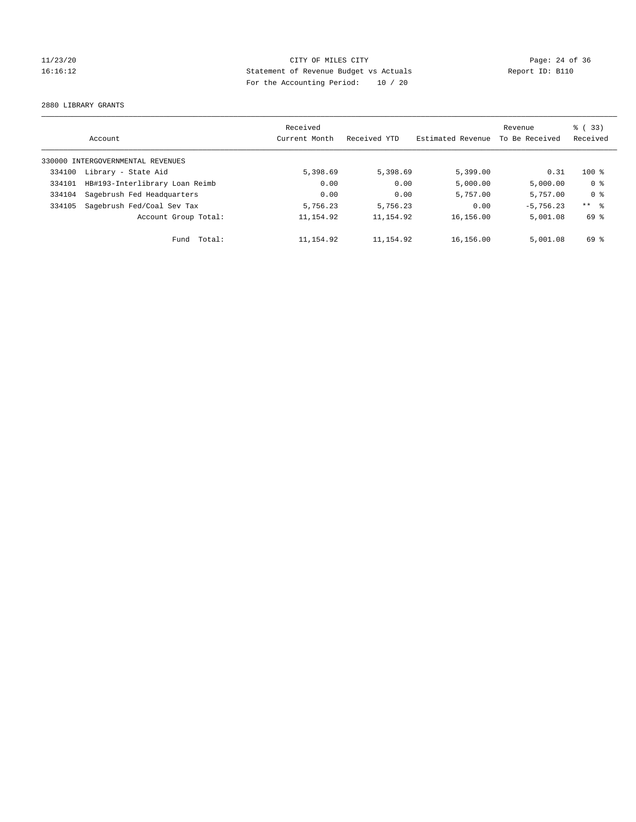# 11/23/20 Page: 24 of 36 16:16:12 Statement of Revenue Budget vs Actuals Report ID: B110 For the Accounting Period: 10 / 20

2880 LIBRARY GRANTS

|        | Account                           | Received<br>Current Month | Received YTD | Estimated Revenue | Revenue<br>To Be Received | % (33)<br>Received |
|--------|-----------------------------------|---------------------------|--------------|-------------------|---------------------------|--------------------|
|        | 330000 INTERGOVERNMENTAL REVENUES |                           |              |                   |                           |                    |
| 334100 | Library - State Aid               | 5,398.69                  | 5,398.69     | 5,399.00          | 0.31                      | $100*$             |
| 334101 | HB#193-Interlibrary Loan Reimb    | 0.00                      | 0.00         | 5,000.00          | 5,000.00                  | 0 <sup>8</sup>     |
| 334104 | Sagebrush Fed Headquarters        | 0.00                      | 0.00         | 5,757.00          | 5,757.00                  | 0 <sup>8</sup>     |
| 334105 | Sagebrush Fed/Coal Sev Tax        | 5,756.23                  | 5,756.23     | 0.00              | $-5.756.23$               | ** 8               |
|        | Account Group Total:              | 11, 154.92                | 11, 154.92   | 16,156.00         | 5,001.08                  | 69 %               |
|        | Total:<br>Fund                    | 11, 154.92                | 11,154.92    | 16,156.00         | 5,001.08                  | 69 %               |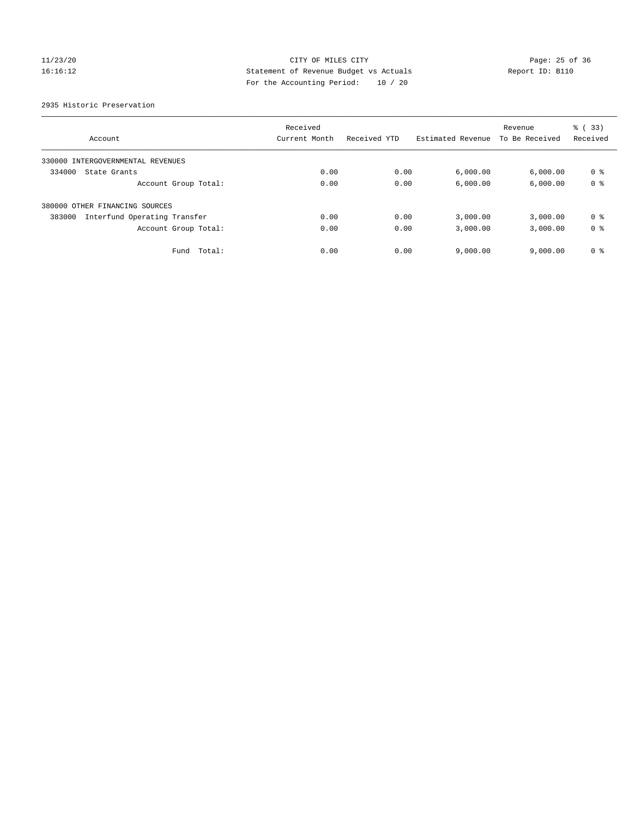# 11/23/20 Page: 25 of 36 16:16:12 Statement of Revenue Budget vs Actuals Report ID: B110 For the Accounting Period: 10 / 20

2935 Historic Preservation

|                                        | Received      |              |                   | Revenue        | % (33)         |
|----------------------------------------|---------------|--------------|-------------------|----------------|----------------|
| Account                                | Current Month | Received YTD | Estimated Revenue | To Be Received | Received       |
| 330000 INTERGOVERNMENTAL REVENUES      |               |              |                   |                |                |
| 334000<br>State Grants                 | 0.00          | 0.00         | 6,000.00          | 6,000.00       | 0 %            |
| Account Group Total:                   | 0.00          | 0.00         | 6,000.00          | 6,000.00       | 0 <sup>8</sup> |
| 380000 OTHER FINANCING SOURCES         |               |              |                   |                |                |
| Interfund Operating Transfer<br>383000 | 0.00          | 0.00         | 3,000.00          | 3,000.00       | 0 <sup>8</sup> |
| Account Group Total:                   | 0.00          | 0.00         | 3,000.00          | 3,000.00       | 0 <sup>8</sup> |
| Total:<br>Fund                         | 0.00          | 0.00         | 9,000.00          | 9.000.00       | 0 <sup>8</sup> |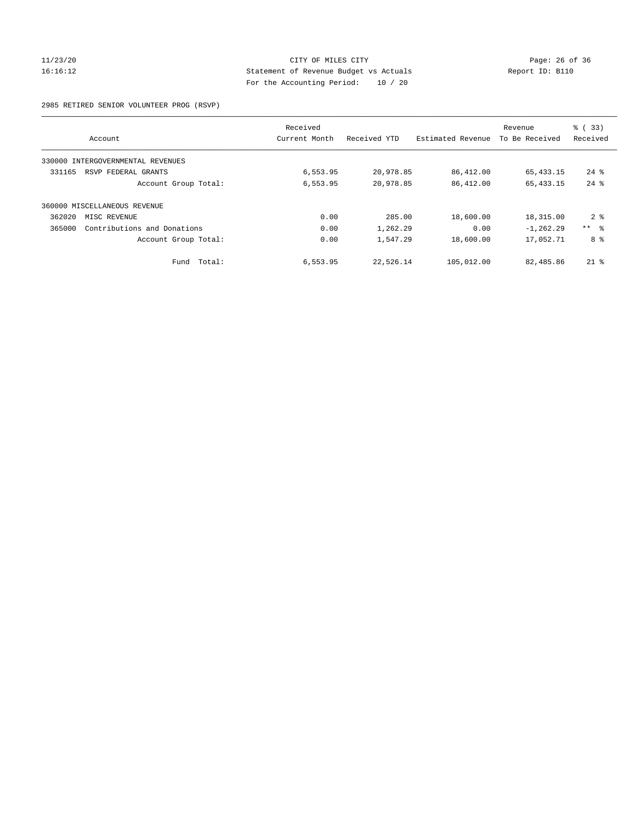# 11/23/20 Page: 26 of 36 CITY OF MILES CITY CHANGES CONTROL PAGE: 26 of 36 16:16:12 Statement of Revenue Budget vs Actuals Report ID: B110 For the Accounting Period: 10 / 20

2985 RETIRED SENIOR VOLUNTEER PROG (RSVP)

|        |                                   | Received      |              |                   | Revenue        | % (33)     |
|--------|-----------------------------------|---------------|--------------|-------------------|----------------|------------|
|        | Account                           | Current Month | Received YTD | Estimated Revenue | To Be Received | Received   |
|        | 330000 INTERGOVERNMENTAL REVENUES |               |              |                   |                |            |
| 331165 | RSVP FEDERAL GRANTS               | 6,553.95      | 20,978.85    | 86,412.00         | 65, 433. 15    | $24$ %     |
|        | Account Group Total:              | 6,553.95      | 20,978.85    | 86,412.00         | 65, 433. 15    | $24$ $%$   |
|        | 360000 MISCELLANEOUS REVENUE      |               |              |                   |                |            |
| 362020 | MISC REVENUE                      | 0.00          | 285.00       | 18,600.00         | 18,315.00      | $2 \div$   |
| 365000 | Contributions and Donations       | 0.00          | 1,262.29     | 0.00              | $-1, 262.29$   | $***$ $ -$ |
|        | Account Group Total:              | 0.00          | 1,547.29     | 18,600.00         | 17,052.71      | 8 %        |
|        | Total:<br>Fund                    | 6,553.95      | 22,526.14    | 105,012.00        | 82,485.86      | $21*$      |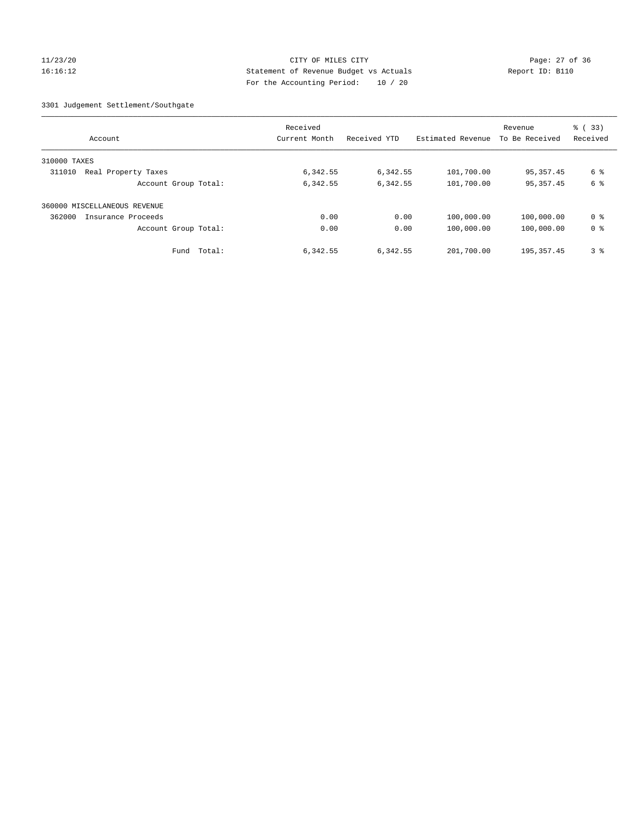# 11/23/20 Page: 27 of 36 16:16:12 Statement of Revenue Budget vs Actuals Report ID: B110 For the Accounting Period: 10 / 20

3301 Judgement Settlement/Southgate

| Account                       | Received<br>Current Month | Received YTD | Estimated Revenue | Revenue<br>To Be Received | $\frac{6}{6}$ (33)<br>Received |
|-------------------------------|---------------------------|--------------|-------------------|---------------------------|--------------------------------|
| 310000 TAXES                  |                           |              |                   |                           |                                |
| Real Property Taxes<br>311010 | 6,342.55                  | 6,342.55     | 101,700.00        | 95, 357.45                | 6 %                            |
| Account Group Total:          | 6,342.55                  | 6,342.55     | 101,700.00        | 95, 357.45                | 6 %                            |
| 360000 MISCELLANEOUS REVENUE  |                           |              |                   |                           |                                |
| 362000<br>Insurance Proceeds  | 0.00                      | 0.00         | 100,000.00        | 100,000.00                | 0 <sup>8</sup>                 |
| Account Group Total:          | 0.00                      | 0.00         | 100,000.00        | 100,000.00                | 0 <sup>8</sup>                 |
| Total:<br>Fund                | 6,342.55                  | 6,342.55     | 201,700.00        | 195, 357.45               | 3 <sup>8</sup>                 |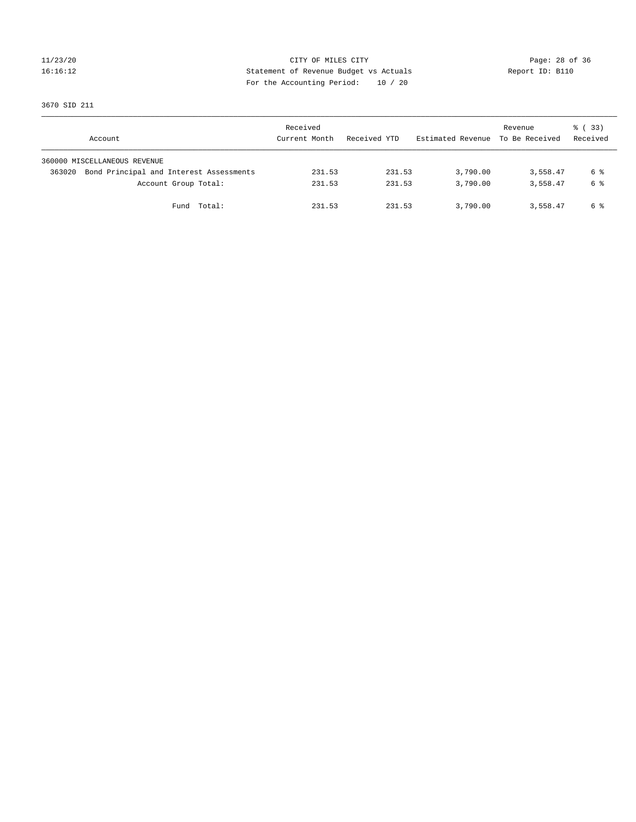# 16:16:12 Statement of Revenue Budget vs Actuals Report ID: B110 For the Accounting Period: 10 / 20

11/23/20 Page: 28 of 36

3670 SID 211

| Account                                           | Received<br>Current Month | Received YTD | Estimated Revenue | Revenue<br>To Be Received | 8 (33)<br>Received |
|---------------------------------------------------|---------------------------|--------------|-------------------|---------------------------|--------------------|
| 360000 MISCELLANEOUS REVENUE                      |                           |              |                   |                           |                    |
| Bond Principal and Interest Assessments<br>363020 | 231.53                    | 231.53       | 3,790.00          | 3,558.47                  | 6 %                |
| Account Group Total:                              | 231.53                    | 231.53       | 3,790.00          | 3,558.47                  | 6 %                |
| Fund Total:                                       | 231.53                    | 231.53       | 3,790.00          | 3,558.47                  | 6 %                |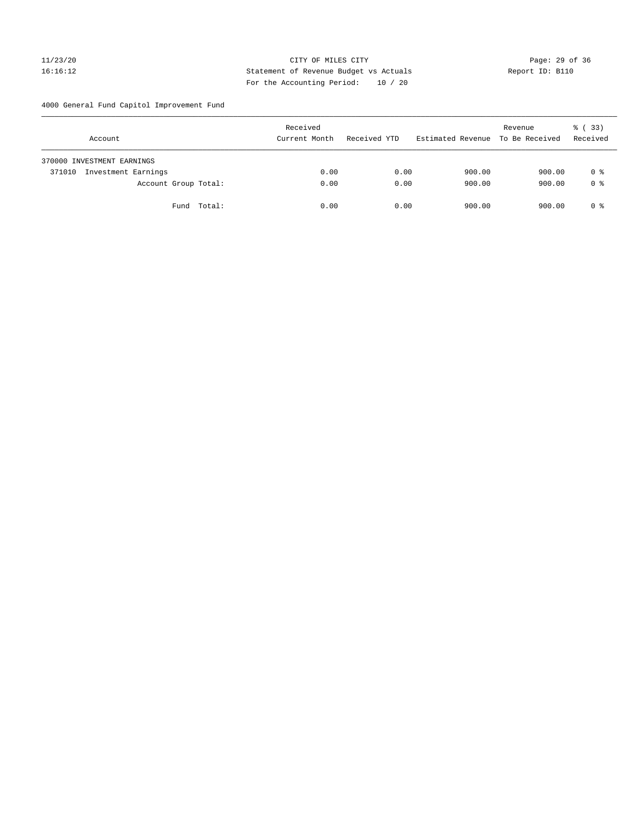# 11/23/20 Page: 29 of 36 16:16:12 Statement of Revenue Budget vs Actuals Report ID: B110 For the Accounting Period: 10 / 20

4000 General Fund Capitol Improvement Fund

| Account                       | Received<br>Current Month | Received YTD | Estimated Revenue | Revenue<br>To Be Received | 8 (33)<br>Received |
|-------------------------------|---------------------------|--------------|-------------------|---------------------------|--------------------|
| 370000 INVESTMENT EARNINGS    |                           |              |                   |                           |                    |
| Investment Earnings<br>371010 | 0.00                      | 0.00         | 900.00            | 900.00                    | 0 %                |
| Account Group Total:          | 0.00                      | 0.00         | 900.00            | 900.00                    | 0 <sup>8</sup>     |
| Fund Total:                   | 0.00                      | 0.00         | 900.00            | 900.00                    | 0 %                |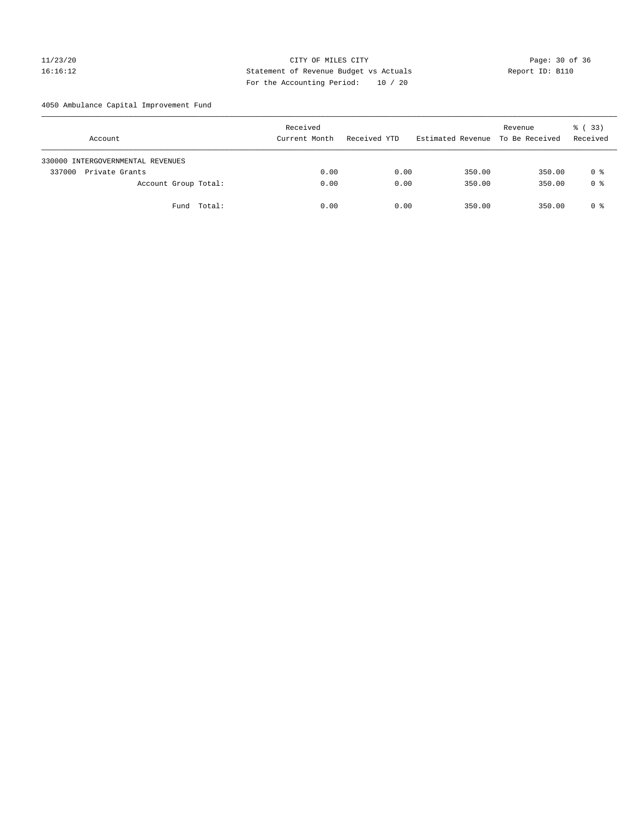# 11/23/20 Page: 30 of 36 CITY OF MILES CITY CHANGES CITY 16:16:12 Statement of Revenue Budget vs Actuals Report ID: B110 For the Accounting Period: 10 / 20

4050 Ambulance Capital Improvement Fund

| Account                           | Received<br>Current Month | Received YTD | Estimated Revenue | Revenue<br>To Be Received | 8 (33)<br>Received |
|-----------------------------------|---------------------------|--------------|-------------------|---------------------------|--------------------|
| 330000 INTERGOVERNMENTAL REVENUES |                           |              |                   |                           |                    |
| 337000<br>Private Grants          | 0.00                      | 0.00         | 350.00            | 350.00                    | 0 %                |
| Account Group Total:              | 0.00                      | 0.00         | 350.00            | 350.00                    | 0 <sup>8</sup>     |
| Fund Total:                       | 0.00                      | 0.00         | 350.00            | 350.00                    | 0 %                |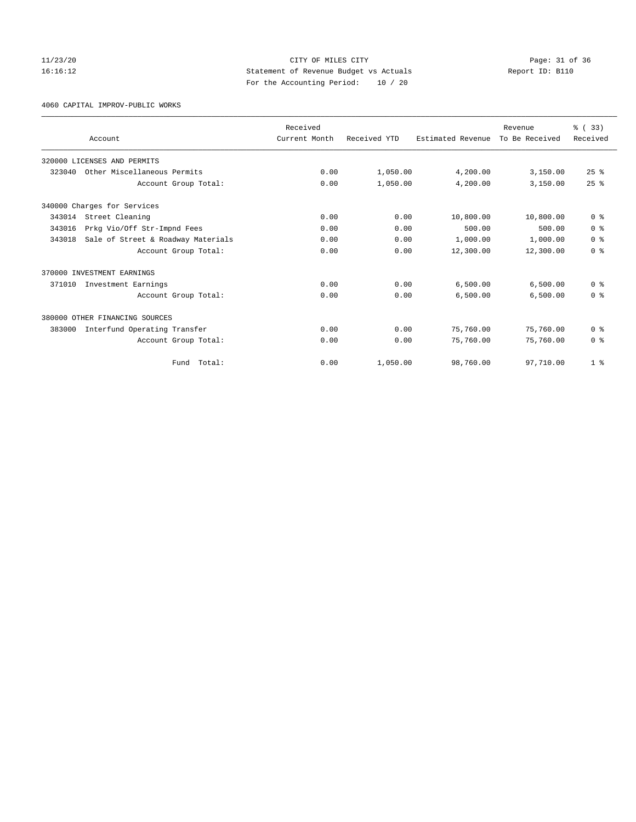# 11/23/20 Page: 31 of 36 CITY OF MILES CITY CHANGES CITY 16:16:12 Statement of Revenue Budget vs Actuals Report ID: B110 For the Accounting Period: 10 / 20

4060 CAPITAL IMPROV-PUBLIC WORKS

|        | Account                            | Received<br>Current Month | Received YTD | Estimated Revenue | Revenue<br>To Be Received | % (33)<br>Received |
|--------|------------------------------------|---------------------------|--------------|-------------------|---------------------------|--------------------|
|        |                                    |                           |              |                   |                           |                    |
|        | 320000 LICENSES AND PERMITS        |                           |              |                   |                           |                    |
| 323040 | Other Miscellaneous Permits        | 0.00                      | 1,050.00     | 4,200.00          | 3,150.00                  | $25$ $%$           |
|        | Account Group Total:               | 0.00                      | 1,050.00     | 4,200.00          | 3,150.00                  | $25$ $%$           |
|        | 340000 Charges for Services        |                           |              |                   |                           |                    |
| 343014 | Street Cleaning                    | 0.00                      | 0.00         | 10,800.00         | 10,800.00                 | 0 <sup>8</sup>     |
| 343016 | Prkg Vio/Off Str-Impnd Fees        | 0.00                      | 0.00         | 500.00            | 500.00                    | 0 <sup>8</sup>     |
| 343018 | Sale of Street & Roadway Materials | 0.00                      | 0.00         | 1,000.00          | 1,000.00                  | 0 <sup>8</sup>     |
|        | Account Group Total:               | 0.00                      | 0.00         | 12,300.00         | 12,300.00                 | 0 <sup>8</sup>     |
|        | 370000 INVESTMENT EARNINGS         |                           |              |                   |                           |                    |
| 371010 | Investment Earnings                | 0.00                      | 0.00         | 6,500.00          | 6,500.00                  | 0 <sup>8</sup>     |
|        | Account Group Total:               | 0.00                      | 0.00         | 6,500.00          | 6,500.00                  | 0 <sup>8</sup>     |
|        | 380000 OTHER FINANCING SOURCES     |                           |              |                   |                           |                    |
| 383000 | Interfund Operating Transfer       | 0.00                      | 0.00         | 75,760.00         | 75,760.00                 | 0 <sup>8</sup>     |
|        | Account Group Total:               | 0.00                      | 0.00         | 75,760.00         | 75,760.00                 | 0 <sup>8</sup>     |
|        | Fund Total:                        | 0.00                      | 1,050.00     | 98,760.00         | 97,710.00                 | 1 <sup>8</sup>     |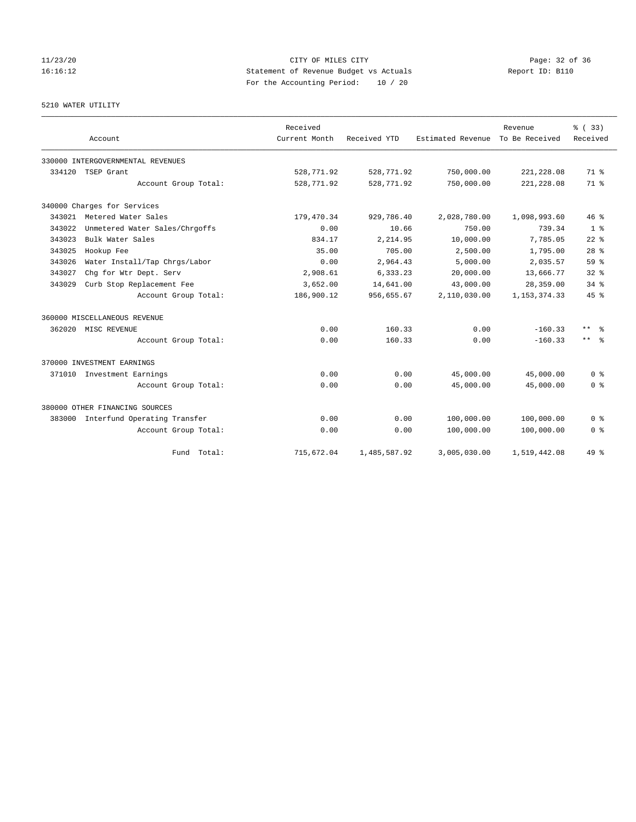# 11/23/20 Page: 32 of 36 16:16:12 Statement of Revenue Budget vs Actuals Report ID: B110 For the Accounting Period: 10 / 20

# 5210 WATER UTILITY

|        | Account                           | Received<br>Current Month | Received YTD | Estimated Revenue | Revenue<br>To Be Received | % (33)<br>Received  |
|--------|-----------------------------------|---------------------------|--------------|-------------------|---------------------------|---------------------|
|        |                                   |                           |              |                   |                           |                     |
|        | 330000 INTERGOVERNMENTAL REVENUES |                           |              |                   |                           |                     |
|        | 334120 TSEP Grant                 | 528,771.92                | 528,771.92   | 750,000.00        | 221, 228.08               | 71 %                |
|        | Account Group Total:              | 528,771.92                | 528,771.92   | 750,000.00        | 221, 228.08               | 71.8                |
|        | 340000 Charges for Services       |                           |              |                   |                           |                     |
|        | 343021 Metered Water Sales        | 179,470.34                | 929,786.40   | 2,028,780.00      | 1,098,993.60              | $46*$               |
| 343022 | Unmetered Water Sales/Chrgoffs    | 0.00                      | 10.66        | 750.00            | 739.34                    | 1 <sup>8</sup>      |
| 343023 | Bulk Water Sales                  | 834.17                    | 2,214.95     | 10,000.00         | 7,785.05                  | $22$ $%$            |
| 343025 | Hookup Fee                        | 35.00                     | 705.00       | 2,500.00          | 1,795.00                  | 28 <sup>8</sup>     |
| 343026 | Water Install/Tap Chrgs/Labor     | 0.00                      | 2,964.43     | 5,000.00          | 2,035.57                  | 59 <sup>8</sup>     |
| 343027 | Chg for Wtr Dept. Serv            | 2,908.61                  | 6,333.23     | 20,000.00         | 13,666.77                 | 328                 |
| 343029 | Curb Stop Replacement Fee         | 3,652.00                  | 14,641.00    | 43,000.00         | 28,359.00                 | $34$ $%$            |
|        | Account Group Total:              | 186,900.12                | 956,655.67   | 2,110,030.00      | 1, 153, 374. 33           | 45%                 |
|        | 360000 MISCELLANEOUS REVENUE      |                           |              |                   |                           |                     |
|        | 362020 MISC REVENUE               | 0.00                      | 160.33       | 0.00              | $-160.33$                 | $\star\star$<br>- 왕 |
|        | Account Group Total:              | 0.00                      | 160.33       | 0.00              | $-160.33$                 | $***$ $ -$          |
|        | 370000 INVESTMENT EARNINGS        |                           |              |                   |                           |                     |
|        | 371010 Investment Earnings        | 0.00                      | 0.00         | 45,000.00         | 45,000.00                 | 0 <sup>8</sup>      |
|        | Account Group Total:              | 0.00                      | 0.00         | 45,000.00         | 45,000.00                 | 0 <sup>8</sup>      |
|        | 380000 OTHER FINANCING SOURCES    |                           |              |                   |                           |                     |
| 383000 | Interfund Operating Transfer      | 0.00                      | 0.00         | 100,000.00        | 100,000.00                | 0 <sup>8</sup>      |
|        | Account Group Total:              | 0.00                      | 0.00         | 100,000.00        | 100,000.00                | 0 %                 |
|        | Fund Total:                       | 715,672.04                | 1,485,587.92 | 3,005,030.00      | 1,519,442.08              | 49 %                |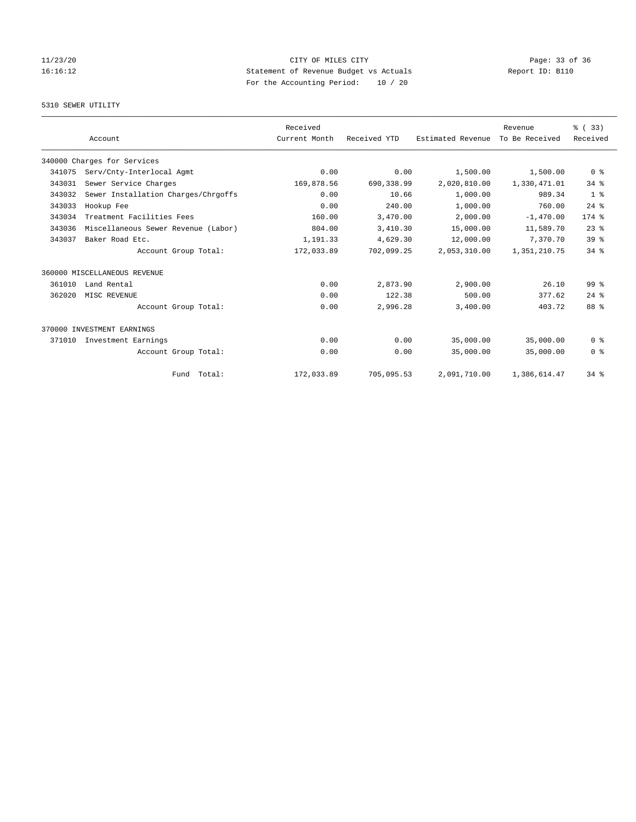# 11/23/20 Page: 33 of 36 16:16:12 Statement of Revenue Budget vs Actuals Report ID: B110 For the Accounting Period: 10 / 20

# 5310 SEWER UTILITY

|        |                                     | Received      |              |                   | Revenue        | % (33)          |
|--------|-------------------------------------|---------------|--------------|-------------------|----------------|-----------------|
|        | Account                             | Current Month | Received YTD | Estimated Revenue | To Be Received | Received        |
|        | 340000 Charges for Services         |               |              |                   |                |                 |
| 341075 | Serv/Cnty-Interlocal Agmt           | 0.00          | 0.00         | 1,500.00          | 1,500.00       | 0 <sup>8</sup>  |
| 343031 | Sewer Service Charges               | 169,878.56    | 690,338.99   | 2,020,810.00      | 1,330,471.01   | $34$ $%$        |
| 343032 | Sewer Installation Charges/Chrgoffs | 0.00          | 10.66        | 1,000.00          | 989.34         | 1 <sup>8</sup>  |
| 343033 | Hookup Fee                          | 0.00          | 240.00       | 1,000.00          | 760.00         | $24$ $%$        |
| 343034 | Treatment Facilities Fees           | 160.00        | 3,470.00     | 2,000.00          | $-1,470.00$    | 174.8           |
| 343036 | Miscellaneous Sewer Revenue (Labor) | 804.00        | 3,410.30     | 15,000.00         | 11,589.70      | $23$ %          |
| 343037 | Baker Road Etc.                     | 1,191.33      | 4,629.30     | 12,000.00         | 7,370.70       | 39 <sup>8</sup> |
|        | Account Group Total:                | 172,033.89    | 702,099.25   | 2,053,310.00      | 1,351,210.75   | $34$ $%$        |
|        | 360000 MISCELLANEOUS REVENUE        |               |              |                   |                |                 |
| 361010 | Land Rental                         | 0.00          | 2,873.90     | 2,900.00          | 26.10          | $99*$           |
| 362020 | MISC REVENUE                        | 0.00          | 122.38       | 500.00            | 377.62         | $24$ $%$        |
|        | Account Group Total:                | 0.00          | 2,996.28     | 3,400.00          | 403.72         | 88 %            |
|        | 370000 INVESTMENT EARNINGS          |               |              |                   |                |                 |
| 371010 | Investment Earnings                 | 0.00          | 0.00         | 35,000.00         | 35,000.00      | 0 <sup>8</sup>  |
|        | Account Group Total:                | 0.00          | 0.00         | 35,000.00         | 35,000.00      | 0 <sup>8</sup>  |
|        | Fund Total:                         | 172,033.89    | 705,095.53   | 2,091,710.00      | 1,386,614.47   | $34$ $%$        |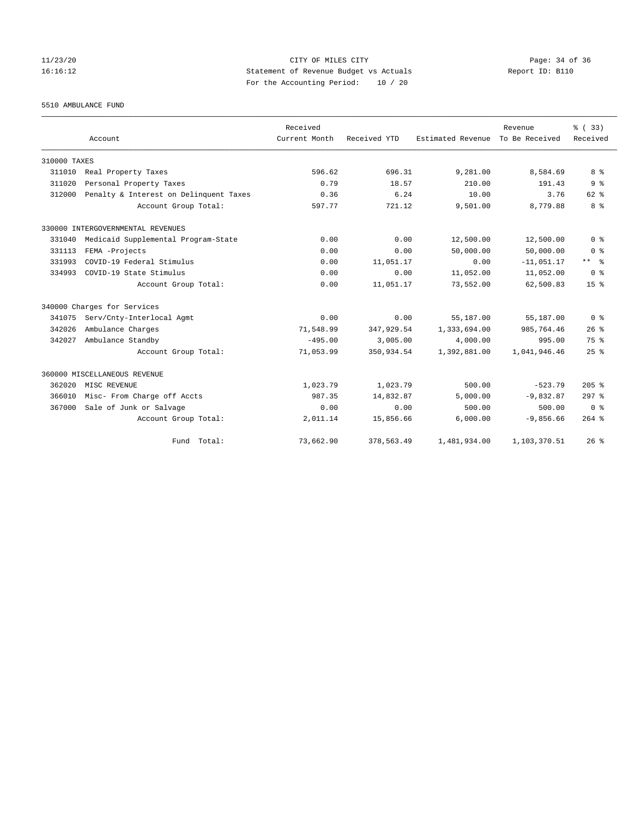# 11/23/20 Page: 34 of 36 16:16:12 Statement of Revenue Budget vs Actuals Report ID: B110 For the Accounting Period: 10 / 20

5510 AMBULANCE FUND

|              | Account                                | Received<br>Current Month | Received YTD | Estimated Revenue | Revenue<br>To Be Received | % (33)<br>Received |
|--------------|----------------------------------------|---------------------------|--------------|-------------------|---------------------------|--------------------|
|              |                                        |                           |              |                   |                           |                    |
| 310000 TAXES |                                        |                           |              |                   |                           |                    |
| 311010       | Real Property Taxes                    | 596.62                    | 696.31       | 9,281.00          | 8,584.69                  | 8 %                |
| 311020       | Personal Property Taxes                | 0.79                      | 18.57        | 210.00            | 191.43                    | 9 <sup>8</sup>     |
| 312000       | Penalty & Interest on Delinquent Taxes | 0.36                      | 6.24         | 10.00             | 3.76                      | $62$ $%$           |
|              | Account Group Total:                   | 597.77                    | 721.12       | 9,501.00          | 8,779.88                  | 8 %                |
|              | 330000 INTERGOVERNMENTAL REVENUES      |                           |              |                   |                           |                    |
| 331040       | Medicaid Supplemental Program-State    | 0.00                      | 0.00         | 12,500.00         | 12,500.00                 | 0 <sup>8</sup>     |
| 331113       | FEMA -Projects                         | 0.00                      | 0.00         | 50,000.00         | 50,000.00                 | 0 <sup>8</sup>     |
| 331993       | COVID-19 Federal Stimulus              | 0.00                      | 11,051.17    | 0.00              | $-11,051.17$              | $***$ $ -$         |
| 334993       | COVID-19 State Stimulus                | 0.00                      | 0.00         | 11,052.00         | 11,052.00                 | 0 <sup>8</sup>     |
|              | Account Group Total:                   | 0.00                      | 11,051.17    | 73,552.00         | 62,500.83                 | 15 <sup>°</sup>    |
|              | 340000 Charges for Services            |                           |              |                   |                           |                    |
| 341075       | Serv/Cnty-Interlocal Agmt              | 0.00                      | 0.00         | 55,187.00         | 55,187.00                 | 0 <sup>8</sup>     |
| 342026       | Ambulance Charges                      | 71,548.99                 | 347,929.54   | 1,333,694.00      | 985,764.46                | 26%                |
| 342027       | Ambulance Standby                      | $-495.00$                 | 3,005.00     | 4,000.00          | 995.00                    | 75%                |
|              | Account Group Total:                   | 71,053.99                 | 350,934.54   | 1,392,881.00      | 1,041,946.46              | 25%                |
|              | 360000 MISCELLANEOUS REVENUE           |                           |              |                   |                           |                    |
| 362020       | MISC REVENUE                           | 1,023.79                  | 1,023.79     | 500.00            | $-523.79$                 | 205%               |
| 366010       | Misc- From Charge off Accts            | 987.35                    | 14,832.87    | 5,000.00          | $-9,832.87$               | $297$ %            |
| 367000       | Sale of Junk or Salvage                | 0.00                      | 0.00         | 500.00            | 500.00                    | 0 <sup>8</sup>     |
|              | Account Group Total:                   | 2,011.14                  | 15,856.66    | 6,000.00          | $-9,856.66$               | $264$ $%$          |
|              | Fund Total:                            | 73,662.90                 | 378,563.49   | 1,481,934.00      | 1,103,370.51              | 26%                |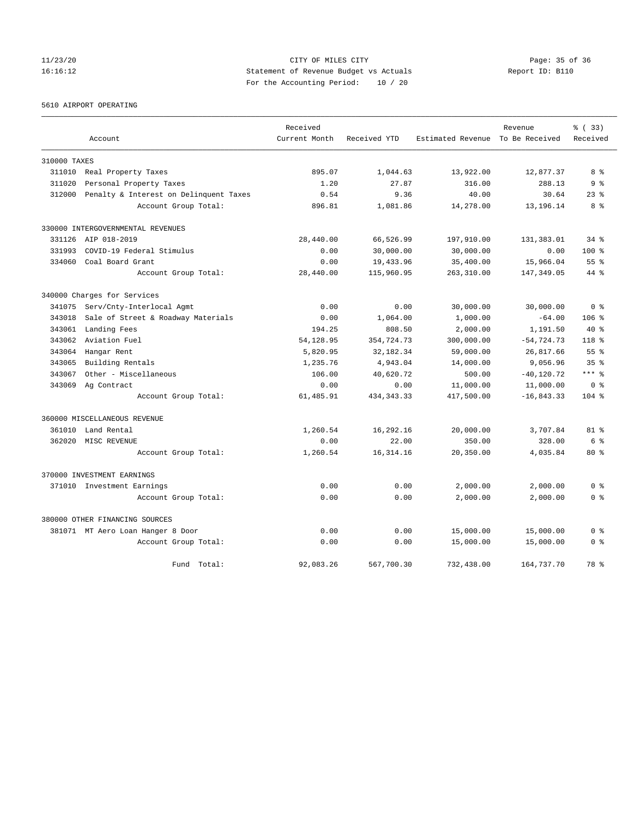# 11/23/20 Page: 35 of 36 Page: 35 of 36 Page: 35 of 36 Page: 35 of 36 Page: 35 of 36 Page: 35 of 36 Page: 35 of 36 16:16:12 Statement of Revenue Budget vs Actuals Report ID: B110 For the Accounting Period: 10 / 20

5610 AIRPORT OPERATING

|              |                                        | Received      |              |                                  | Revenue       | % (33)          |
|--------------|----------------------------------------|---------------|--------------|----------------------------------|---------------|-----------------|
|              | Account                                | Current Month | Received YTD | Estimated Revenue To Be Received |               | Received        |
| 310000 TAXES |                                        |               |              |                                  |               |                 |
| 311010       | Real Property Taxes                    | 895.07        | 1,044.63     | 13,922.00                        | 12,877.37     | 8 %             |
| 311020       | Personal Property Taxes                | 1.20          | 27.87        | 316.00                           | 288.13        | 9 <sup>8</sup>  |
| 312000       | Penalty & Interest on Delinquent Taxes | 0.54          | 9.36         | 40.00                            | 30.64         | $23$ $%$        |
|              | Account Group Total:                   | 896.81        | 1,081.86     | 14,278.00                        | 13, 196. 14   | 8 %             |
|              | 330000 INTERGOVERNMENTAL REVENUES      |               |              |                                  |               |                 |
|              | 331126 AIP 018-2019                    | 28,440.00     | 66,526.99    | 197,910.00                       | 131,383.01    | $34$ $%$        |
| 331993       | COVID-19 Federal Stimulus              | 0.00          | 30,000.00    | 30,000.00                        | 0.00          | 100%            |
| 334060       | Coal Board Grant                       | 0.00          | 19,433.96    | 35,400.00                        | 15,966.04     | 55 %            |
|              | Account Group Total:                   | 28,440.00     | 115,960.95   | 263,310.00                       | 147,349.05    | $44*$           |
|              | 340000 Charges for Services            |               |              |                                  |               |                 |
| 341075       | Serv/Cnty-Interlocal Agmt              | 0.00          | 0.00         | 30,000.00                        | 30,000.00     | 0 <sup>8</sup>  |
| 343018       | Sale of Street & Roadway Materials     | 0.00          | 1,064.00     | 1,000.00                         | $-64.00$      | $106$ %         |
| 343061       | Landing Fees                           | 194.25        | 808.50       | 2,000.00                         | 1,191.50      | $40*$           |
| 343062       | Aviation Fuel                          | 54, 128.95    | 354,724.73   | 300,000.00                       | $-54, 724.73$ | $118*$          |
| 343064       | Hangar Rent                            | 5,820.95      | 32,182.34    | 59,000.00                        | 26,817.66     | 55%             |
| 343065       | Building Rentals                       | 1,235.76      | 4,943.04     | 14,000.00                        | 9,056.96      | 35 <sup>8</sup> |
| 343067       | Other - Miscellaneous                  | 106.00        | 40,620.72    | 500.00                           | $-40, 120.72$ | $***$ $%$       |
| 343069       | Ag Contract                            | 0.00          | 0.00         | 11,000.00                        | 11,000.00     | 0 <sup>8</sup>  |
|              | Account Group Total:                   | 61, 485.91    | 434, 343. 33 | 417,500.00                       | $-16,843.33$  | $104$ %         |
|              | 360000 MISCELLANEOUS REVENUE           |               |              |                                  |               |                 |
| 361010       | Land Rental                            | 1,260.54      | 16,292.16    | 20,000.00                        | 3,707.84      | $81$ %          |
| 362020       | MISC REVENUE                           | 0.00          | 22.00        | 350.00                           | 328.00        | 6 %             |
|              | Account Group Total:                   | 1,260.54      | 16, 314.16   | 20,350.00                        | 4,035.84      | $80*$           |
|              | 370000 INVESTMENT EARNINGS             |               |              |                                  |               |                 |
|              | 371010 Investment Earnings             | 0.00          | 0.00         | 2,000.00                         | 2,000.00      | 0 <sup>8</sup>  |
|              | Account Group Total:                   | 0.00          | 0.00         | 2,000.00                         | 2,000.00      | 0 <sup>8</sup>  |
|              | 380000 OTHER FINANCING SOURCES         |               |              |                                  |               |                 |
|              | 381071 MT Aero Loan Hanger 8 Door      | 0.00          | 0.00         | 15,000.00                        | 15,000.00     | 0 %             |
|              | Account Group Total:                   | 0.00          | 0.00         | 15,000.00                        | 15,000.00     | 0 <sup>8</sup>  |
|              | Fund Total:                            | 92,083.26     | 567,700.30   | 732,438.00                       | 164,737.70    | 78 %            |